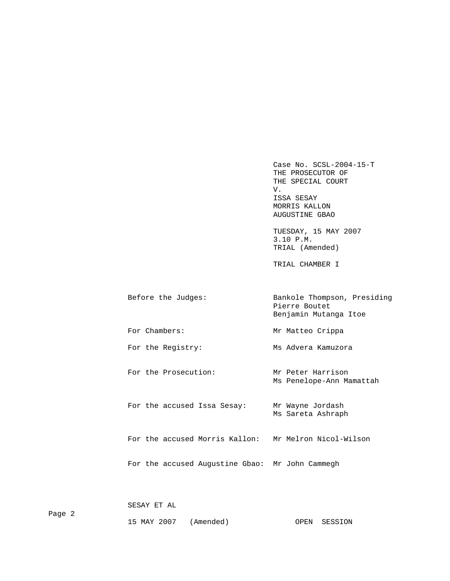Case No. SCSL-2004-15-T THE PROSECUTOR OF THE SPECIAL COURT V. ISSA SESAY MORRIS KALLON AUGUSTINE GBAO

> TUESDAY, 15 MAY 2007 3.10 P.M. TRIAL (Amended)

TRIAL CHAMBER I

| Before the Judges: | Bankole Thompson, Presiding<br>Pierre Boutet<br>Benjamin Mutanga Itoe |
|--------------------|-----------------------------------------------------------------------|
| For Chambers:      | Mr Matteo Crippa                                                      |
| For the Registry:  | Ms Advera Kamuzora                                                    |

For the Prosecution: Mr Peter Harrison Ms Penelope-Ann Mamattah

For the accused Issa Sesay: Mr Wayne Jordash Ms Sareta Ashraph

For the accused Morris Kallon: Mr Melron Nicol-Wilson

For the accused Augustine Gbao: Mr John Cammegh

SESAY ET AL

15 MAY 2007 (Amended) OPEN SESSION

Page 2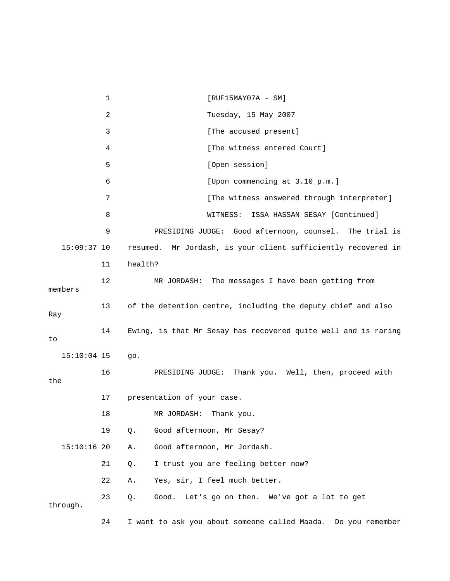1 [RUF15MAY07A - SM] 2 Tuesday, 15 May 2007 3 **Example 2 [The accused present]** 4 [The witness entered Court] 5 [Open session] 6 [Upon commencing at 3.10 p.m.] 7 **12 [The witness answered through interpreter]**  8 WITNESS: ISSA HASSAN SESAY [Continued] 9 PRESIDING JUDGE: Good afternoon, counsel. The trial is 15:09:37 10 resumed. Mr Jordash, is your client sufficiently recovered in 11 health? 12 MR JORDASH: The messages I have been getting from members 13 of the detention centre, including the deputy chief and also Ray 14 Ewing, is that Mr Sesay has recovered quite well and is raring to 15:10:04 15 go. 16 PRESIDING JUDGE: Thank you. Well, then, proceed with the 17 presentation of your case. 18 MR JORDASH: Thank you. 19 Q. Good afternoon, Mr Sesay? 15:10:16 20 A. Good afternoon, Mr Jordash. 21 Q. I trust you are feeling better now? 22 A. Yes, sir, I feel much better. 23 Q. Good. Let's go on then. We've got a lot to get through. 24 I want to ask you about someone called Maada. Do you remember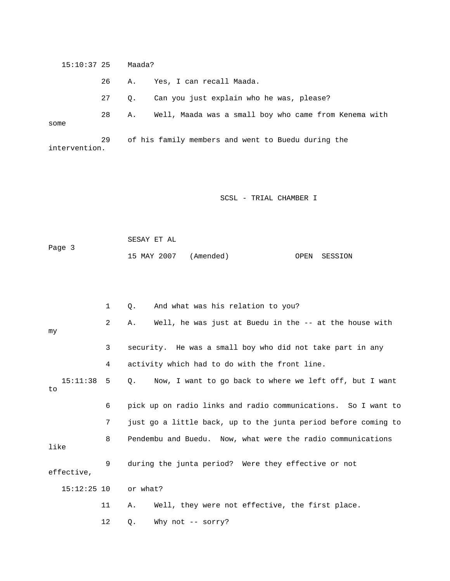15:10:37 25 Maada? 26 A. Yes, I can recall Maada. 27 Q. Can you just explain who he was, please? 28 A. Well, Maada was a small boy who came from Kenema with some 29 of his family members and went to Buedu during the intervention.

SCSL - TRIAL CHAMBER I

 SESAY ET AL Page 3 15 MAY 2007 (Amended) OPEN SESSION

|                | $\mathbf{1}$   | And what was his relation to you?<br>Q.                              |
|----------------|----------------|----------------------------------------------------------------------|
| my             | $\overline{2}$ | Well, he was just at Buedu in the -- at the house with<br>Α.         |
|                | 3              | security. He was a small boy who did not take part in any            |
|                | 4              | activity which had to do with the front line.                        |
| 15:11:38<br>to | 5              | $\circ$ .<br>Now, I want to go back to where we left off, but I want |
|                | 6              | pick up on radio links and radio communications. So I want to        |
|                | 7              | just go a little back, up to the junta period before coming to       |
| like           | 8              | Pendembu and Buedu. Now, what were the radio communications          |
| effective,     | 9              | during the junta period? Were they effective or not                  |
| $15:12:25$ 10  |                | or what?                                                             |
|                | 11             | Well, they were not effective, the first place.<br>Α.                |
|                | 12             | Why not $--$ sorry?<br>Q.                                            |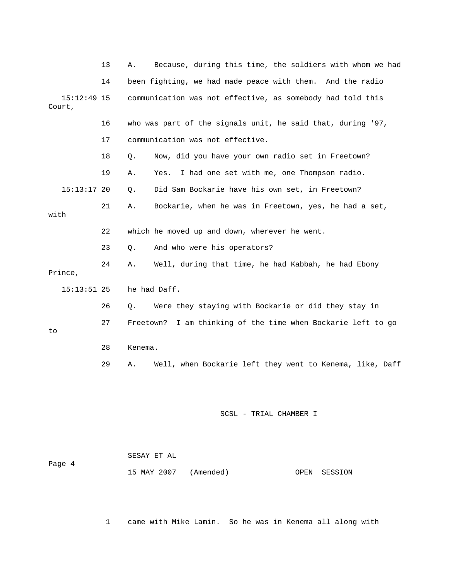|         |               | 13 | Α.        | Because, during this time, the soldiers with whom we had    |
|---------|---------------|----|-----------|-------------------------------------------------------------|
|         |               | 14 |           | been fighting, we had made peace with them. And the radio   |
| Court,  | $15:12:49$ 15 |    |           | communication was not effective, as somebody had told this  |
|         |               | 16 |           | who was part of the signals unit, he said that, during '97, |
|         |               | 17 |           | communication was not effective.                            |
|         |               | 18 | Ο.        | Now, did you have your own radio set in Freetown?           |
|         |               | 19 | Α.        | I had one set with me, one Thompson radio.<br>Yes.          |
|         | $15:13:17$ 20 |    | Q.        | Did Sam Bockarie have his own set, in Freetown?             |
| with    |               | 21 | Α.        | Bockarie, when he was in Freetown, yes, he had a set,       |
|         |               | 22 |           | which he moved up and down, wherever he went.               |
|         |               | 23 | Q.        | And who were his operators?                                 |
| Prince, |               | 24 | Α.        | Well, during that time, he had Kabbah, he had Ebony         |
|         | $15:13:51$ 25 |    |           | he had Daff.                                                |
|         |               | 26 | Q.        | Were they staying with Bockarie or did they stay in         |
| to      |               | 27 | Freetown? | I am thinking of the time when Bockarie left to go          |
|         |               | 28 | Kenema.   |                                                             |
|         |               | 29 | Α.        | Well, when Bockarie left they went to Kenema, like, Daff    |
|         |               |    |           | SCSL - TRIAL CHAMBER I                                      |

|        | SESAY ET AL           |  |              |
|--------|-----------------------|--|--------------|
| Page 4 |                       |  |              |
|        | 15 MAY 2007 (Amended) |  | OPEN SESSION |

1 came with Mike Lamin. So he was in Kenema all along with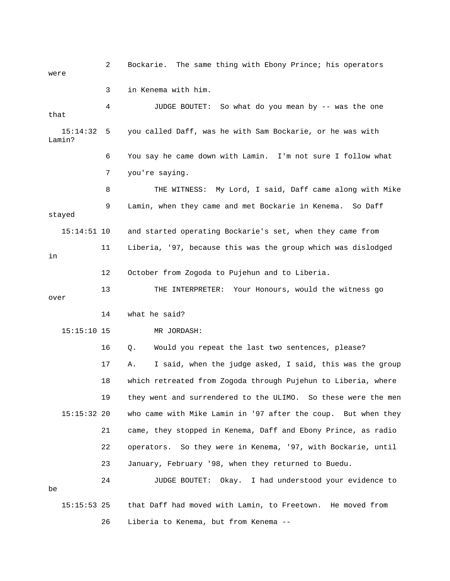2 Bockarie. The same thing with Ebony Prince; his operators were 3 in Kenema with him. 4 JUDGE BOUTET: So what do you mean by -- was the one that 15:14:32 5 you called Daff, was he with Sam Bockarie, or he was with Lamin? 6 You say he came down with Lamin. I'm not sure I follow what 7 you're saying. 8 THE WITNESS: My Lord, I said, Daff came along with Mike 9 Lamin, when they came and met Bockarie in Kenema. So Daff stayed 15:14:51 10 and started operating Bockarie's set, when they came from 11 Liberia, '97, because this was the group which was dislodged in 12 October from Zogoda to Pujehun and to Liberia. 13 THE INTERPRETER: Your Honours, would the witness go over 14 what he said? 15:15:10 15 MR JORDASH: 16 Q. Would you repeat the last two sentences, please? 17 A. I said, when the judge asked, I said, this was the group 18 which retreated from Zogoda through Pujehun to Liberia, where 19 they went and surrendered to the ULIMO. So these were the men 15:15:32 20 who came with Mike Lamin in '97 after the coup. But when they 21 came, they stopped in Kenema, Daff and Ebony Prince, as radio 22 operators. So they were in Kenema, '97, with Bockarie, until 23 January, February '98, when they returned to Buedu. 24 JUDGE BOUTET: Okay. I had understood your evidence to be 15:15:53 25 that Daff had moved with Lamin, to Freetown. He moved from 26 Liberia to Kenema, but from Kenema --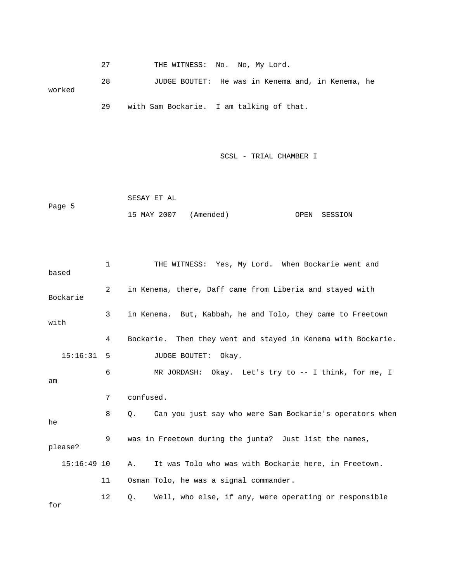27 THE WITNESS: No. No, My Lord.

 28 JUDGE BOUTET: He was in Kenema and, in Kenema, he worked 29 with Sam Bockarie. I am talking of that.

```
 SESAY ET AL 
Page 5 
               15 MAY 2007 (Amended) OPEN SESSION
```

| based         | 1  | THE WITNESS: Yes, My Lord. When Bockarie went and             |
|---------------|----|---------------------------------------------------------------|
| Bockarie      | 2  | in Kenema, there, Daff came from Liberia and stayed with      |
| with          | 3  | in Kenema. But, Kabbah, he and Tolo, they came to Freetown    |
|               | 4  | Bockarie. Then they went and stayed in Kenema with Bockarie.  |
| $15:16:31$ 5  |    | JUDGE BOUTET: Okay.                                           |
| am            | 6  | MR JORDASH: Okay. Let's try to -- I think, for me, I          |
|               | 7  | confused.                                                     |
| he            | 8  | Can you just say who were Sam Bockarie's operators when<br>0. |
| please?       | 9  | was in Freetown during the junta? Just list the names,        |
| $15:16:49$ 10 |    | It was Tolo who was with Bockarie here, in Freetown.<br>Α.    |
|               | 11 | Osman Tolo, he was a signal commander.                        |
| for           | 12 | Well, who else, if any, were operating or responsible<br>Q.   |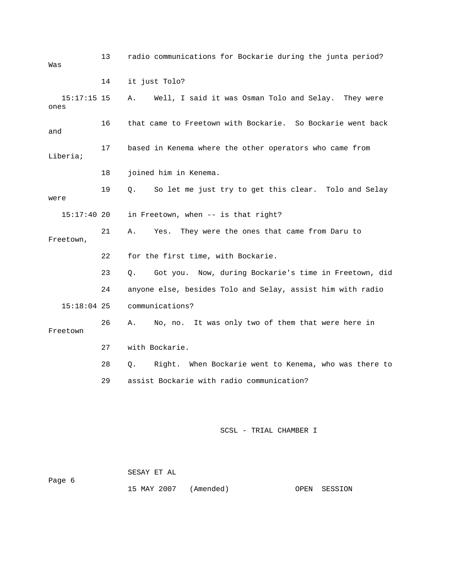| Was                   | 13 | radio communications for Bockarie during the junta period?  |
|-----------------------|----|-------------------------------------------------------------|
|                       | 14 | it just Tolo?                                               |
| $15:17:15$ 15<br>ones |    | Well, I said it was Osman Tolo and Selay. They were<br>Α.   |
| and                   | 16 | that came to Freetown with Bockarie. So Bockarie went back  |
| Liberia;              | 17 | based in Kenema where the other operators who came from     |
|                       | 18 | joined him in Kenema.                                       |
| were                  | 19 | So let me just try to get this clear. Tolo and Selay<br>Q.  |
| 15:17:4020            |    | in Freetown, when -- is that right?                         |
| Freetown,             | 21 | They were the ones that came from Daru to<br>Α.<br>Yes.     |
|                       | 22 | for the first time, with Bockarie.                          |
|                       | 23 | Got you. Now, during Bockarie's time in Freetown, did<br>Q. |
|                       | 24 | anyone else, besides Tolo and Selay, assist him with radio  |
| $15:18:04$ 25         |    | communications?                                             |
| Freetown              | 26 | No, no. It was only two of them that were here in<br>Α.     |
|                       | 27 | with Bockarie.                                              |
|                       | 28 | Right. When Bockarie went to Kenema, who was there to<br>Q. |
|                       | 29 | assist Bockarie with radio communication?                   |
|                       |    |                                                             |
|                       |    | SCSL - TRIAL CHAMBER I                                      |

|        | SESAY ET AL |                       |              |
|--------|-------------|-----------------------|--------------|
| Page 6 |             |                       |              |
|        |             | 15 MAY 2007 (Amended) | OPEN SESSION |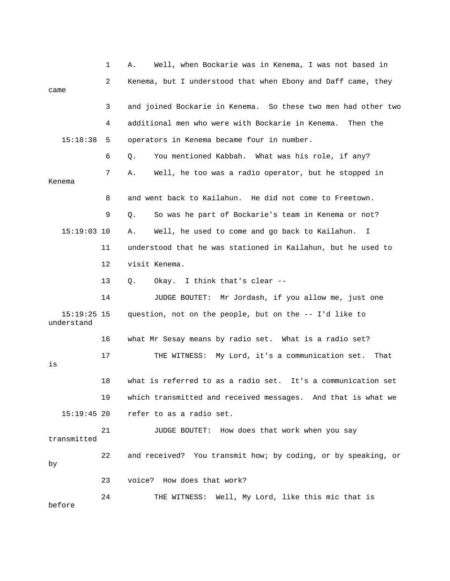|                             | 1  | Well, when Bockarie was in Kenema, I was not based in<br>Α.   |
|-----------------------------|----|---------------------------------------------------------------|
| came                        | 2  | Kenema, but I understood that when Ebony and Daff came, they  |
|                             | 3  | and joined Bockarie in Kenema. So these two men had other two |
|                             | 4  | additional men who were with Bockarie in Kenema.<br>Then the  |
| 15:18:38                    | 5. | operators in Kenema became four in number.                    |
|                             | 6  | You mentioned Kabbah. What was his role, if any?<br>Q.        |
| Kenema                      | 7  | Well, he too was a radio operator, but he stopped in<br>Α.    |
|                             | 8  | and went back to Kailahun. He did not come to Freetown.       |
|                             | 9  | So was he part of Bockarie's team in Kenema or not?<br>Q.     |
| $15:19:03$ 10               |    | Well, he used to come and go back to Kailahun.<br>Α.<br>I.    |
|                             | 11 | understood that he was stationed in Kailahun, but he used to  |
|                             | 12 | visit Kenema.                                                 |
|                             | 13 | Okay. I think that's clear --<br>Q.                           |
|                             | 14 | JUDGE BOUTET: Mr Jordash, if you allow me, just one           |
| $15:19:25$ 15<br>understand |    | question, not on the people, but on the -- I'd like to        |
|                             | 16 | what Mr Sesay means by radio set. What is a radio set?        |
| is                          | 17 | THE WITNESS: My Lord, it's a communication set.<br>That       |
|                             | 18 | what is referred to as a radio set. It's a communication set  |
|                             | 19 | which transmitted and received messages. And that is what we  |
| $15:19:45$ 20               |    | refer to as a radio set.                                      |
| transmitted                 | 21 | JUDGE BOUTET: How does that work when you say                 |
| by                          | 22 | and received? You transmit how; by coding, or by speaking, or |
|                             | 23 | voice? How does that work?                                    |
| before                      | 24 | THE WITNESS: Well, My Lord, like this mic that is             |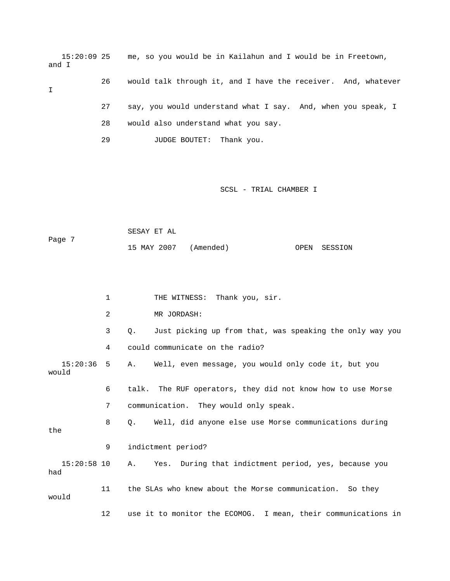15:20:09 25 me, so you would be in Kailahun and I would be in Freetown, and I

I

- 26 would talk through it, and I have the receiver. And, whatever 27 say, you would understand what I say. And, when you speak, I 28 would also understand what you say.
	- 29 JUDGE BOUTET: Thank you.

### SCSL - TRIAL CHAMBER I

 SESAY ET AL Page 7 15 MAY 2007 (Amended) OPEN SESSION

|                       | 1  | THE WITNESS: Thank you, sir.                                       |
|-----------------------|----|--------------------------------------------------------------------|
|                       | 2  | MR JORDASH:                                                        |
|                       | 3  | Just picking up from that, was speaking the only way you<br>Q.     |
|                       | 4  | could communicate on the radio?                                    |
| $15:20:36$ 5<br>would |    | A. Well, even message, you would only code it, but you             |
|                       | 6  | talk. The RUF operators, they did not know how to use Morse        |
|                       | 7  | communication. They would only speak.                              |
| the                   | 8  | Well, did anyone else use Morse communications during<br>$\circ$ . |
|                       | 9  | indictment period?                                                 |
| 15:20:58 10<br>had    |    | Yes. During that indictment period, yes, because you<br>Α.         |
| would                 | 11 | the SLAs who knew about the Morse communication. So they           |
|                       | 12 | use it to monitor the ECOMOG. I mean, their communications in      |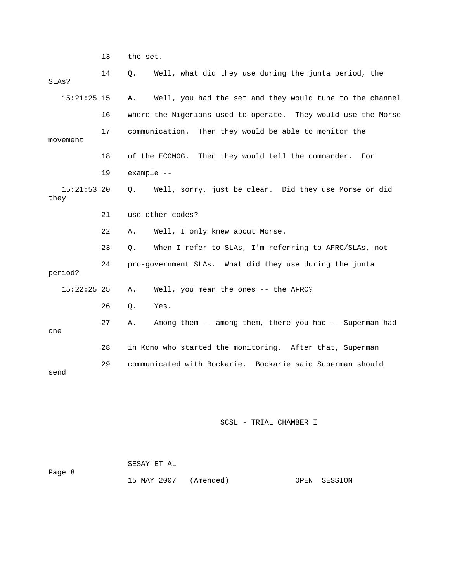13 the set.

| SLAs?                 | 14 | Well, what did they use during the junta period, the<br>Q.     |
|-----------------------|----|----------------------------------------------------------------|
| $15:21:25$ 15         |    | Well, you had the set and they would tune to the channel<br>Α. |
|                       | 16 | where the Nigerians used to operate. They would use the Morse  |
| movement              | 17 | communication.<br>Then they would be able to monitor the       |
|                       | 18 | of the ECOMOG.<br>Then they would tell the commander.<br>For   |
|                       | 19 | example --                                                     |
| $15:21:53$ 20<br>they |    | Well, sorry, just be clear. Did they use Morse or did<br>О.    |
|                       | 21 | use other codes?                                               |
|                       | 22 | Well, I only knew about Morse.<br>Α.                           |
|                       | 23 | When I refer to SLAs, I'm referring to AFRC/SLAs, not<br>$Q$ . |
| period?               | 24 | pro-government SLAs. What did they use during the junta        |
| $15:22:25$ 25         |    | Well, you mean the ones -- the AFRC?<br>Α.                     |
|                       | 26 | $\circ$ .<br>Yes.                                              |
| one                   | 27 | Among them -- among them, there you had -- Superman had<br>Α.  |
|                       | 28 | in Kono who started the monitoring. After that, Superman       |
| send                  | 29 | communicated with Bockarie. Bockarie said Superman should      |

| Page 8 | SESAY ET AL           |  |              |
|--------|-----------------------|--|--------------|
|        | 15 MAY 2007 (Amended) |  | OPEN SESSION |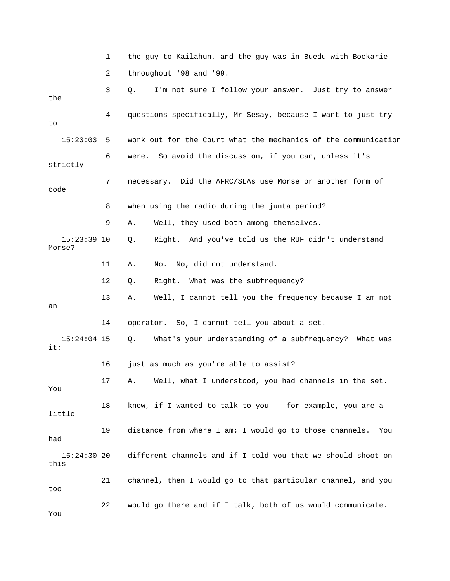1 the guy to Kailahun, and the guy was in Buedu with Bockarie 2 throughout '98 and '99. 3 Q. I'm not sure I follow your answer. Just try to answer the 4 questions specifically, Mr Sesay, because I want to just try to 15:23:03 5 work out for the Court what the mechanics of the communication 6 were. So avoid the discussion, if you can, unless it's strictly 7 necessary. Did the AFRC/SLAs use Morse or another form of code 8 when using the radio during the junta period? 9 A. Well, they used both among themselves. 15:23:39 10 Q. Right. And you've told us the RUF didn't understand Morse? 11 A. No. No, did not understand. 12 Q. Right. What was the subfrequency? 13 A. Well, I cannot tell you the frequency because I am not an 14 operator. So, I cannot tell you about a set. 15:24:04 15 Q. What's your understanding of a subfrequency? What was it; 16 just as much as you're able to assist? 17 A. Well, what I understood, you had channels in the set. You 18 know, if I wanted to talk to you -- for example, you are a little 19 distance from where I am; I would go to those channels. You had 15:24:30 20 different channels and if I told you that we should shoot on this 21 channel, then I would go to that particular channel, and you too 22 would go there and if I talk, both of us would communicate. You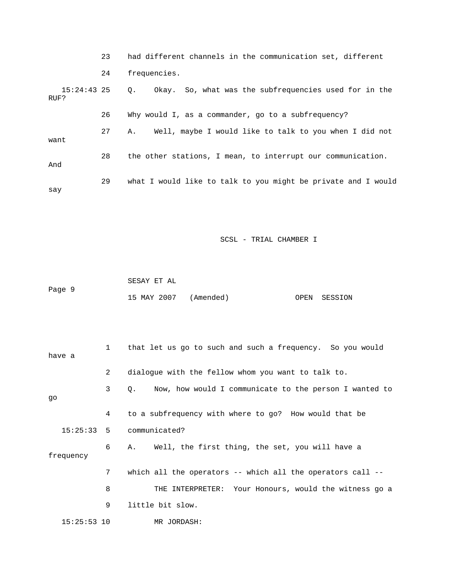|                       | 23 | had different channels in the communication set, different         |
|-----------------------|----|--------------------------------------------------------------------|
|                       | 24 | frequencies.                                                       |
| $15:24:43$ 25<br>RUF? |    | Okay. So, what was the subfrequencies used for in the<br>$\circ$ . |
|                       | 26 | Why would I, as a commander, go to a subfrequency?                 |
| want                  | 27 | Well, maybe I would like to talk to you when I did not<br>Α.       |
| And                   | 28 | the other stations, I mean, to interrupt our communication.        |
| say                   | 29 | what I would like to talk to you might be private and I would      |

|        | SESAY ET AL           |  |              |
|--------|-----------------------|--|--------------|
| Page 9 |                       |  |              |
|        | 15 MAY 2007 (Amended) |  | OPEN SESSION |

| have a        | $\mathbf{1}$ | that let us go to such and such a frequency. So you would    |
|---------------|--------------|--------------------------------------------------------------|
|               | 2            | dialogue with the fellow whom you want to talk to.           |
| qo            | 3            | Now, how would I communicate to the person I wanted to<br>0. |
|               | 4            | to a subfrequency with where to go? How would that be        |
|               |              | $15:25:33$ 5 communicated?                                   |
| frequency     | 6            | A. Well, the first thing, the set, you will have a           |
|               | 7            | which all the operators -- which all the operators call --   |
|               | 8            | THE INTERPRETER: Your Honours, would the witness go a        |
|               | 9            | little bit slow.                                             |
| $15:25:53$ 10 |              | MR JORDASH:                                                  |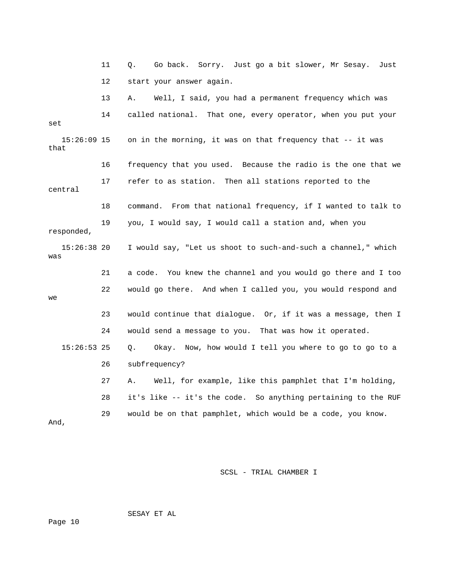11 Q. Go back. Sorry. Just go a bit slower, Mr Sesay. Just 12 start your answer again. 13 A. Well, I said, you had a permanent frequency which was 14 called national. That one, every operator, when you put your set 15:26:09 15 on in the morning, it was on that frequency that -- it was that 16 frequency that you used. Because the radio is the one that we 17 refer to as station. Then all stations reported to the central 18 command. From that national frequency, if I wanted to talk to 19 you, I would say, I would call a station and, when you responded, 15:26:38 20 I would say, "Let us shoot to such-and-such a channel," which was 21 a code. You knew the channel and you would go there and I too 22 would go there. And when I called you, you would respond and we 23 would continue that dialogue. Or, if it was a message, then I 24 would send a message to you. That was how it operated. 15:26:53 25 Q. Okay. Now, how would I tell you where to go to go to a 26 subfrequency? 27 A. Well, for example, like this pamphlet that I'm holding, 28 it's like -- it's the code. So anything pertaining to the RUF 29 would be on that pamphlet, which would be a code, you know. And,

SCSL - TRIAL CHAMBER I

SESAY ET AL

Page 10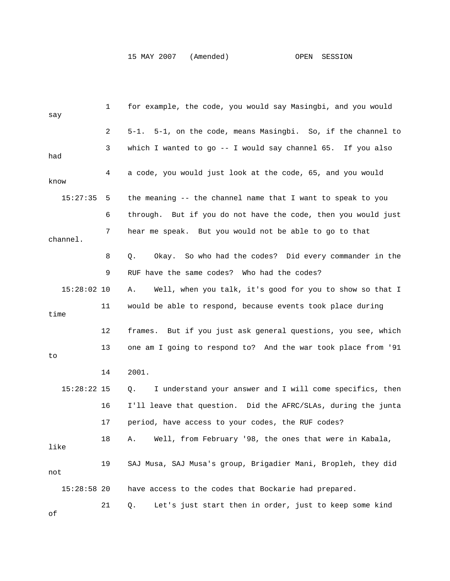| say           | 1  | for example, the code, you would say Masingbi, and you would   |
|---------------|----|----------------------------------------------------------------|
|               | 2  | 5-1. 5-1, on the code, means Masingbi. So, if the channel to   |
| had           | 3  | which I wanted to go -- I would say channel 65. If you also    |
| know          | 4  | a code, you would just look at the code, 65, and you would     |
| 15:27:35      | 5  | the meaning -- the channel name that I want to speak to you    |
|               | 6  | through. But if you do not have the code, then you would just  |
| channel.      | 7  | hear me speak. But you would not be able to go to that         |
|               | 8  | Okay. So who had the codes? Did every commander in the<br>Q.   |
|               | 9  | RUF have the same codes? Who had the codes?                    |
| $15:28:02$ 10 |    | Well, when you talk, it's good for you to show so that I<br>Α. |
| time          | 11 | would be able to respond, because events took place during     |
|               | 12 | frames. But if you just ask general questions, you see, which  |
| to            | 13 | one am I going to respond to? And the war took place from '91  |
|               | 14 | 2001.                                                          |
| $15:28:22$ 15 |    | I understand your answer and I will come specifics, then<br>Q. |
|               | 16 | I'll leave that question. Did the AFRC/SLAs, during the junta  |
|               | 17 | period, have access to your codes, the RUF codes?              |
| like          | 18 | Well, from February '98, the ones that were in Kabala,<br>Α.   |
| not           | 19 | SAJ Musa, SAJ Musa's group, Brigadier Mani, Bropleh, they did  |
| $15:28:58$ 20 |    | have access to the codes that Bockarie had prepared.           |
| $\cap$ f      | 21 | Let's just start then in order, just to keep some kind<br>Q.   |

of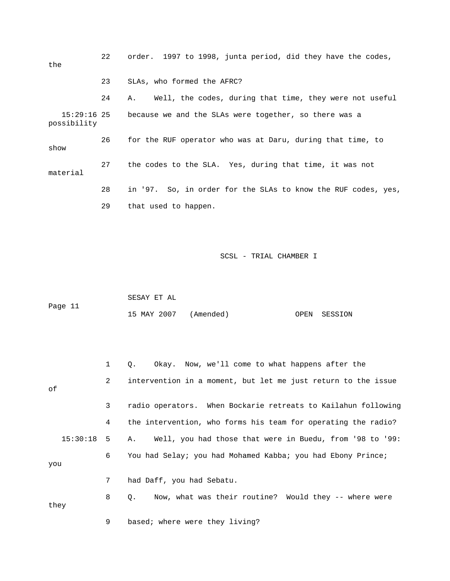| the                        | 22 | order. 1997 to 1998, junta period, did they have the codes,   |
|----------------------------|----|---------------------------------------------------------------|
|                            | 23 | SLAs, who formed the AFRC?                                    |
|                            | 24 | Well, the codes, during that time, they were not useful<br>А. |
| 15:29:16 25<br>possibility |    | because we and the SLAs were together, so there was a         |
| show                       | 26 | for the RUF operator who was at Daru, during that time, to    |
| material                   | 27 | the codes to the SLA. Yes, during that time, it was not       |
|                            | 28 | in '97. So, in order for the SLAs to know the RUF codes, yes, |
|                            | 29 | that used to happen.                                          |

 SESAY ET AL Page 11 15 MAY 2007 (Amended) OPEN SESSION

|              |                | Okay. Now, we'll come to what happens after the<br>0.         |
|--------------|----------------|---------------------------------------------------------------|
| of           | $\mathbf{2}$   | intervention in a moment, but let me just return to the issue |
|              | 3              | radio operators. When Bockarie retreats to Kailahun following |
|              | 4              | the intervention, who forms his team for operating the radio? |
| $15:30:18$ 5 |                | A. Well, you had those that were in Buedu, from '98 to '99:   |
| you          | 6              | You had Selay; you had Mohamed Kabba; you had Ebony Prince;   |
|              | 7 <sup>7</sup> | had Daff, you had Sebatu.                                     |
| they         | 8              | Now, what was their routine? Would they -- where were<br>Q.   |
|              | 9              | based; where were they living?                                |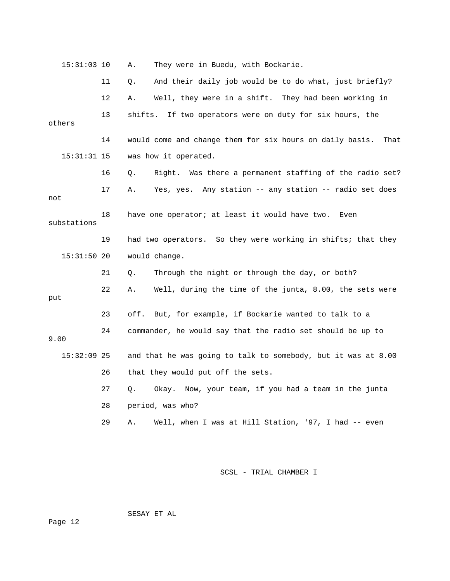| $15:31:03$ 10 |    | Α.      | They were in Buedu, with Bockarie.                               |
|---------------|----|---------|------------------------------------------------------------------|
|               | 11 | Q.      | And their daily job would be to do what, just briefly?           |
|               | 12 | Α.      | Well, they were in a shift. They had been working in             |
| others        | 13 | shifts. | If two operators were on duty for six hours, the                 |
|               | 14 |         | would come and change them for six hours on daily basis.<br>That |
| $15:31:31$ 15 |    |         | was how it operated.                                             |
|               | 16 | Q.      | Right. Was there a permanent staffing of the radio set?          |
| not           | 17 | Α.      | Yes, yes. Any station -- any station -- radio set does           |
| substations   | 18 |         | have one operator; at least it would have two.<br>Even           |
|               | 19 |         | had two operators. So they were working in shifts; that they     |
|               |    |         |                                                                  |
| $15:31:50$ 20 |    |         | would change.                                                    |
|               | 21 | Q.      | Through the night or through the day, or both?                   |
| put           | 22 | Α.      | Well, during the time of the junta, 8.00, the sets were          |
|               | 23 | off.    | But, for example, if Bockarie wanted to talk to a                |
| 9.00          | 24 |         | commander, he would say that the radio set should be up to       |
| $15:32:09$ 25 |    |         | and that he was going to talk to somebody, but it was at 8.00    |
|               | 26 |         | that they would put off the sets.                                |
|               | 27 | Q.      | Okay. Now, your team, if you had a team in the junta             |
|               | 28 |         | period, was who?                                                 |

SESAY ET AL

Page 12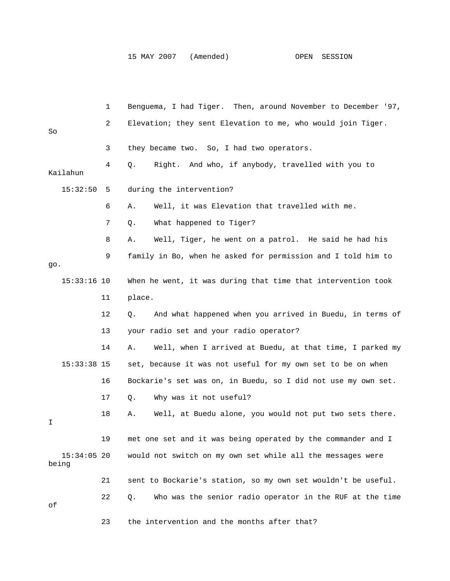|                        | 1  | Benguema, I had Tiger. Then, around November to December '97,     |
|------------------------|----|-------------------------------------------------------------------|
| So                     | 2  | Elevation; they sent Elevation to me, who would join Tiger.       |
|                        | 3  | they became two. So, I had two operators.                         |
| Kailahun               | 4  | And who, if anybody, travelled with you to<br>Q.<br>Right.        |
| 15:32:50               | 5  | during the intervention?                                          |
|                        | 6  | Well, it was Elevation that travelled with me.<br>Α.              |
|                        | 7  | What happened to Tiger?<br>Q.                                     |
|                        | 8  | Well, Tiger, he went on a patrol. He said he had his<br>Α.        |
| go.                    | 9  | family in Bo, when he asked for permission and I told him to      |
| $15:33:16$ 10          |    | When he went, it was during that time that intervention took      |
|                        | 11 | place.                                                            |
|                        | 12 | And what happened when you arrived in Buedu, in terms of<br>Q.    |
|                        | 13 | your radio set and your radio operator?                           |
|                        | 14 | Well, when I arrived at Buedu, at that time, I parked my<br>Α.    |
| $15:33:38$ 15          |    | set, because it was not useful for my own set to be on when       |
|                        | 16 | Bockarie's set was on, in Buedu, so I did not use my own set.     |
|                        | 17 | Why was it not useful?<br>Q.                                      |
| I                      | 18 | Well, at Buedu alone, you would not put two sets there.<br>Α.     |
|                        | 19 | met one set and it was being operated by the commander and I      |
| $15:34:05$ 20<br>being |    | would not switch on my own set while all the messages were        |
|                        | 21 | sent to Bockarie's station, so my own set wouldn't be useful.     |
| оf                     | 22 | Who was the senior radio operator in the RUF at the time<br>$Q$ . |
|                        | 23 | the intervention and the months after that?                       |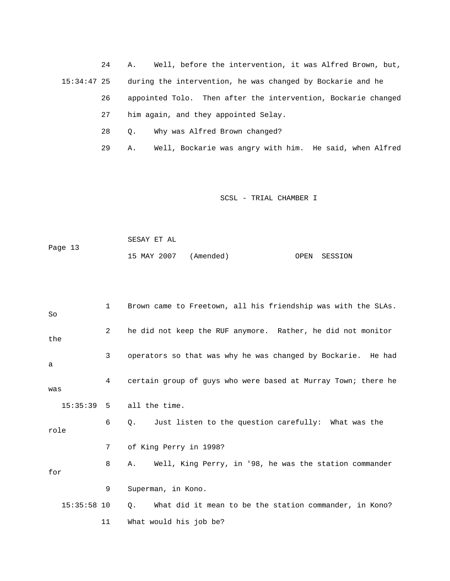24 A. Well, before the intervention, it was Alfred Brown, but, 15:34:47 25 during the intervention, he was changed by Bockarie and he

> 26 appointed Tolo. Then after the intervention, Bockarie changed 27 him again, and they appointed Selay.

- 28 Q. Why was Alfred Brown changed?
- 29 A. Well, Bockarie was angry with him. He said, when Alfred

|         | SESAY ET AL           |  |              |
|---------|-----------------------|--|--------------|
| Page 13 |                       |  |              |
|         | 15 MAY 2007 (Amended) |  | OPEN SESSION |

| So            | $1 \quad$      | Brown came to Freetown, all his friendship was with the SLAs.    |
|---------------|----------------|------------------------------------------------------------------|
| the           | $\overline{a}$ | he did not keep the RUF anymore. Rather, he did not monitor      |
| a             | 3              | operators so that was why he was changed by Bockarie. He had     |
| was           | 4              | certain group of guys who were based at Murray Town; there he    |
|               |                | $15:35:39$ 5 all the time.                                       |
| role          | 6              | Just listen to the question carefully: What was the<br>$\circ$ . |
|               | 7              | of King Perry in 1998?                                           |
| for           | 8              | Well, King Perry, in '98, he was the station commander<br>A.,    |
|               | 9              | Superman, in Kono.                                               |
| $15:35:58$ 10 |                | What did it mean to be the station commander, in Kono?<br>Q.     |
|               | 11             | What would his job be?                                           |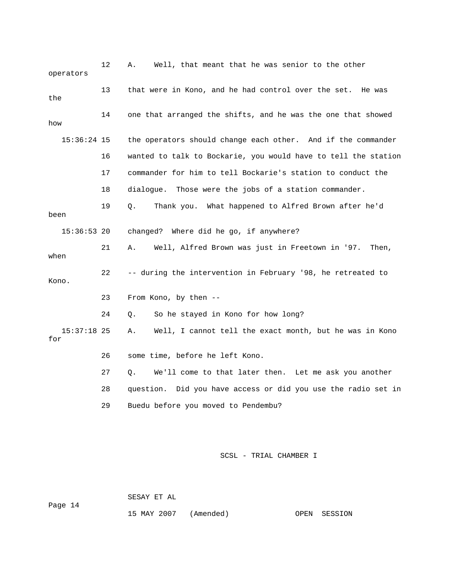| 12            | Well, that meant that he was senior to the other<br>Α.         |
|---------------|----------------------------------------------------------------|
| 13            | that were in Kono, and he had control over the set.<br>He was  |
| 14            | one that arranged the shifts, and he was the one that showed   |
| $15:36:24$ 15 | the operators should change each other. And if the commander   |
| 16            | wanted to talk to Bockarie, you would have to tell the station |
| 17            | commander for him to tell Bockarie's station to conduct the    |
| 18            | dialogue. Those were the jobs of a station commander.          |
| 19            | Q.<br>Thank you. What happened to Alfred Brown after he'd      |
| $15:36:53$ 20 | changed? Where did he go, if anywhere?                         |
| 21            | Well, Alfred Brown was just in Freetown in '97.<br>Α.<br>Then, |
| 22            | -- during the intervention in February '98, he retreated to    |
| 23            | From Kono, by then $-$                                         |
| 24            | So he stayed in Kono for how long?<br>О.                       |
| $15:37:18$ 25 | Well, I cannot tell the exact month, but he was in Kono<br>Α.  |
| 26            | some time, before he left Kono.                                |
| 27            | We'll come to that later then. Let me ask you another<br>Q.    |
| 28            | question. Did you have access or did you use the radio set in  |
| 29            | Buedu before you moved to Pendembu?                            |
|               |                                                                |

SESAY ET AL

Page 14

15 MAY 2007 (Amended) OPEN SESSION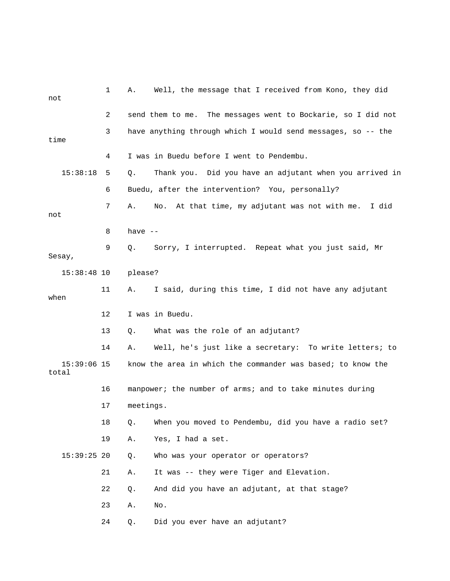| not                    | 1  | Α.        | Well, the message that I received from Kono, they did           |
|------------------------|----|-----------|-----------------------------------------------------------------|
|                        | 2  |           | send them to me.<br>The messages went to Bockarie, so I did not |
| time                   | 3  |           | have anything through which I would send messages, so -- the    |
|                        | 4  |           | I was in Buedu before I went to Pendembu.                       |
| 15:38:18               | 5  | Q.        | Thank you. Did you have an adjutant when you arrived in         |
|                        | 6  |           | Buedu, after the intervention? You, personally?                 |
| not                    | 7  | Α.        | At that time, my adjutant was not with me.<br>I did<br>No.      |
|                        | 8  | have $--$ |                                                                 |
| Sesay,                 | 9  | Q.        | Sorry, I interrupted. Repeat what you just said, Mr             |
| $15:38:48$ 10          |    | please?   |                                                                 |
| when                   | 11 | Α.        | I said, during this time, I did not have any adjutant           |
|                        | 12 |           | I was in Buedu.                                                 |
|                        | 13 | Q.        | What was the role of an adjutant?                               |
|                        | 14 | Α.        | Well, he's just like a secretary: To write letters; to          |
| $15:39:06$ 15<br>total |    |           | know the area in which the commander was based; to know the     |
|                        | 16 |           | manpower; the number of arms; and to take minutes during        |
|                        | 17 | meetings. |                                                                 |
|                        | 18 | Q.        | When you moved to Pendembu, did you have a radio set?           |
|                        | 19 | Α.        | Yes, I had a set.                                               |
| $15:39:25$ 20          |    | Q.        | Who was your operator or operators?                             |
|                        | 21 | Α.        | It was -- they were Tiger and Elevation.                        |
|                        | 22 | Q.        | And did you have an adjutant, at that stage?                    |
|                        | 23 | Α.        | No.                                                             |
|                        | 24 | Q.        | Did you ever have an adjutant?                                  |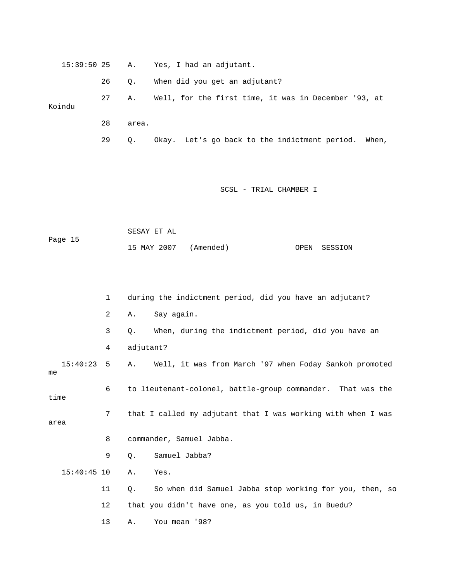15:39:50 25 A. Yes, I had an adjutant. 26 Q. When did you get an adjutant? 27 A. Well, for the first time, it was in December '93, at Koindu 28 area.

29 Q. Okay. Let's go back to the indictment period. When,

|         | SESAY ET AL           |  |              |
|---------|-----------------------|--|--------------|
| Page 15 |                       |  |              |
|         | 15 MAY 2007 (Amended) |  | OPEN SESSION |

|      |               | 1  | during the indictment period, did you have an adjutant?       |
|------|---------------|----|---------------------------------------------------------------|
|      |               | 2  | Say again.<br>Α.                                              |
|      |               | 3  | When, during the indictment period, did you have an<br>Q.     |
|      |               | 4  | adjutant?                                                     |
| me   | 15:40:23      | 5  | Well, it was from March '97 when Foday Sankoh promoted<br>Α.  |
| time |               | 6  | to lieutenant-colonel, battle-group commander. That was the   |
| area |               | 7  | that I called my adjutant that I was working with when I was  |
|      |               | 8  | commander, Samuel Jabba.                                      |
|      |               | 9  | Samuel Jabba?<br>Q.                                           |
|      | $15:40:45$ 10 |    | Α.<br>Yes.                                                    |
|      |               | 11 | So when did Samuel Jabba stop working for you, then, so<br>Ο. |
|      |               | 12 | that you didn't have one, as you told us, in Buedu?           |
|      |               | 13 | You mean '98?<br>Α.                                           |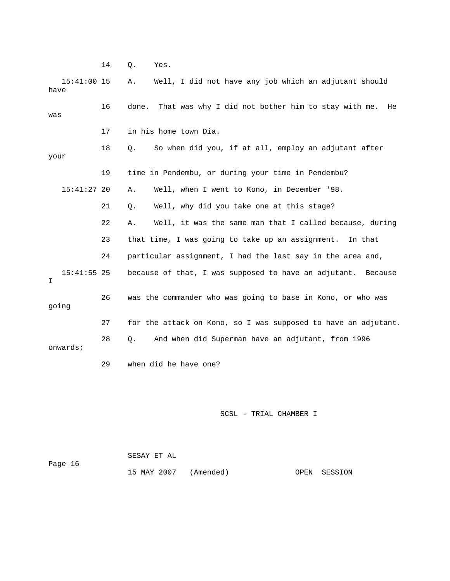14 Q. Yes.

| $15:41:00$ 15<br>have |    | Well, I did not have any job which an adjutant should<br>Α.       |
|-----------------------|----|-------------------------------------------------------------------|
| was                   | 16 | That was why I did not bother him to stay with me.<br>done.<br>He |
|                       | 17 | in his home town Dia.                                             |
| your                  | 18 | So when did you, if at all, employ an adjutant after<br>Q.        |
|                       | 19 | time in Pendembu, or during your time in Pendembu?                |
| $15:41:27$ 20         |    | Well, when I went to Kono, in December '98.<br>Α.                 |
|                       | 21 | Well, why did you take one at this stage?<br>$Q$ .                |
|                       | 22 | Well, it was the same man that I called because, during<br>Α.     |
|                       | 23 | that time, I was going to take up an assignment. In that          |
|                       | 24 | particular assignment, I had the last say in the area and,        |
| $15:41:55$ 25<br>I.   |    | because of that, I was supposed to have an adjutant. Because      |
| going                 | 26 | was the commander who was going to base in Kono, or who was       |
|                       | 27 | for the attack on Kono, so I was supposed to have an adjutant.    |
| onwards;              | 28 | And when did Superman have an adjutant, from 1996<br>Q.           |
|                       | 29 | when did he have one?                                             |

|         | SESAY ET AL           |  |              |
|---------|-----------------------|--|--------------|
| Page 16 |                       |  |              |
|         | 15 MAY 2007 (Amended) |  | OPEN SESSION |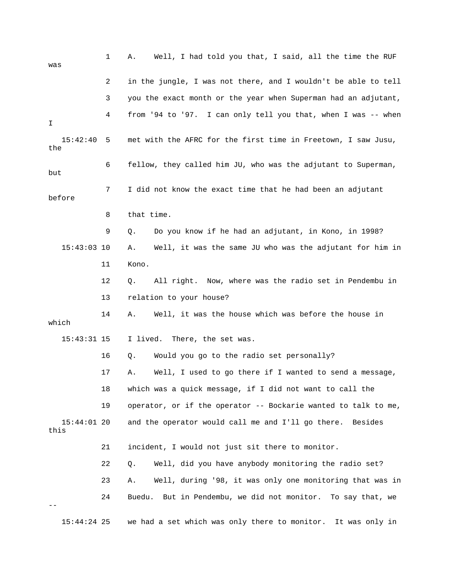| was                   | 1  | Well, I had told you that, I said, all the time the RUF<br>Α.  |
|-----------------------|----|----------------------------------------------------------------|
|                       | 2  | in the jungle, I was not there, and I wouldn't be able to tell |
|                       | 3  | you the exact month or the year when Superman had an adjutant, |
| I.                    | 4  | from '94 to '97. I can only tell you that, when I was -- when  |
| 15:42:40<br>the       | 5  | met with the AFRC for the first time in Freetown, I saw Jusu,  |
| but                   | 6  | fellow, they called him JU, who was the adjutant to Superman,  |
| before                | 7  | I did not know the exact time that he had been an adjutant     |
|                       | 8  | that time.                                                     |
|                       | 9  | Do you know if he had an adjutant, in Kono, in 1998?<br>Q.     |
| $15:43:03$ 10         |    | Well, it was the same JU who was the adjutant for him in<br>Α. |
|                       | 11 | Kono.                                                          |
|                       | 12 | All right. Now, where was the radio set in Pendembu in<br>Q.   |
|                       | 13 | relation to your house?                                        |
| which                 | 14 | Well, it was the house which was before the house in<br>Α.     |
| $15:43:31$ 15         |    | I lived.<br>There, the set was.                                |
|                       | 16 | Would you go to the radio set personally?<br>Q.                |
|                       | 17 | Well, I used to go there if I wanted to send a message,<br>Α.  |
|                       | 18 | which was a quick message, if I did not want to call the       |
|                       | 19 | operator, or if the operator -- Bockarie wanted to talk to me, |
| $15:44:01$ 20<br>this |    | and the operator would call me and I'll go there. Besides      |
|                       | 21 | incident, I would not just sit there to monitor.               |
|                       | 22 | Well, did you have anybody monitoring the radio set?<br>Q.     |
|                       | 23 | Well, during '98, it was only one monitoring that was in<br>Α. |
|                       | 24 | Buedu. But in Pendembu, we did not monitor. To say that, we    |
| $15:44:24$ 25         |    | we had a set which was only there to monitor. It was only in   |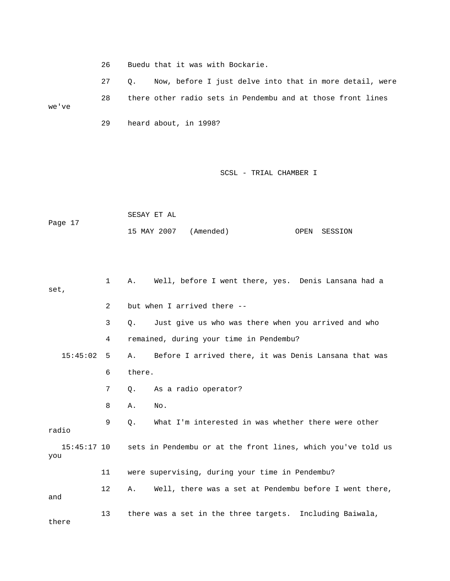26 Buedu that it was with Bockarie.

 27 Q. Now, before I just delve into that in more detail, were 28 there other radio sets in Pendembu and at those front lines we've

29 heard about, in 1998?

|         | SESAY ET AL           |  |              |
|---------|-----------------------|--|--------------|
| Page 17 | 15 MAY 2007 (Amended) |  | OPEN SESSION |

| set,               | $\mathbf{1}$   | Well, before I went there, yes. Denis Lansana had a<br>А.        |  |
|--------------------|----------------|------------------------------------------------------------------|--|
|                    | $\overline{2}$ | but when I arrived there --                                      |  |
|                    | 3              | Just give us who was there when you arrived and who<br>$\circ$ . |  |
|                    | 4              | remained, during your time in Pendembu?                          |  |
| 15:45:02           | - 5            | A. Before I arrived there, it was Denis Lansana that was         |  |
|                    | 6              | there.                                                           |  |
|                    | 7              | As a radio operator?<br>0.                                       |  |
|                    | 8              | No.<br>Α.                                                        |  |
| radio              | 9              | What I'm interested in was whether there were other<br>Q.        |  |
| 15:45:17 10<br>you |                | sets in Pendembu or at the front lines, which you've told us     |  |
|                    | 11             | were supervising, during your time in Pendembu?                  |  |
| and                | 12             | Well, there was a set at Pendembu before I went there,<br>Α.     |  |
| there              | 13             | there was a set in the three targets. Including Baiwala,         |  |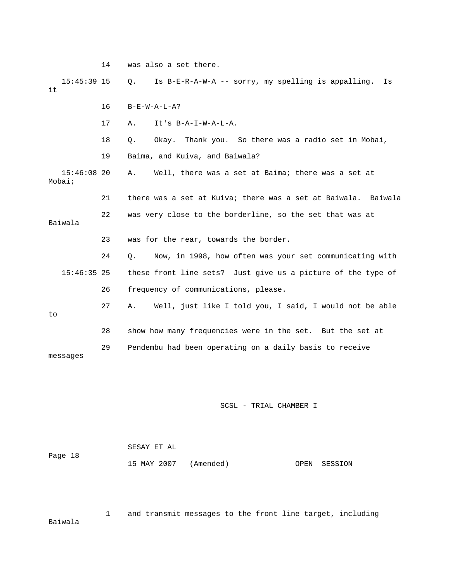|                         | 14 | was also a set there.                                          |  |  |  |  |
|-------------------------|----|----------------------------------------------------------------|--|--|--|--|
| $15:45:39$ 15<br>it     |    | Is B-E-R-A-W-A -- sorry, my spelling is appalling.<br>Q.<br>Is |  |  |  |  |
|                         | 16 | $B-E-W-A-L-A?$                                                 |  |  |  |  |
|                         | 17 | $It's B-A-I-W-A-L-A.$<br>Α.                                    |  |  |  |  |
|                         | 18 | Thank you. So there was a radio set in Mobai,<br>Q.<br>Okay.   |  |  |  |  |
|                         | 19 | Baima, and Kuiva, and Baiwala?                                 |  |  |  |  |
| $15:46:08$ 20<br>Mobai; |    | Well, there was a set at Baima; there was a set at<br>Α.       |  |  |  |  |
|                         | 21 | there was a set at Kuiva; there was a set at Baiwala. Baiwala  |  |  |  |  |
| Baiwala                 | 22 | was very close to the borderline, so the set that was at       |  |  |  |  |
|                         | 23 | was for the rear, towards the border.                          |  |  |  |  |
|                         | 24 | Now, in 1998, how often was your set communicating with<br>О.  |  |  |  |  |
| $15:46:35$ 25           |    | these front line sets? Just give us a picture of the type of   |  |  |  |  |
|                         | 26 | frequency of communications, please.                           |  |  |  |  |
| to                      | 27 | Well, just like I told you, I said, I would not be able<br>Α.  |  |  |  |  |
|                         | 28 | show how many frequencies were in the set. But the set at      |  |  |  |  |
| messages                | 29 | Pendembu had been operating on a daily basis to receive        |  |  |  |  |

|         | SESAY ET AL           |  |              |
|---------|-----------------------|--|--------------|
| Page 18 |                       |  |              |
|         | 15 MAY 2007 (Amended) |  | OPEN SESSION |

 1 and transmit messages to the front line target, including Baiwala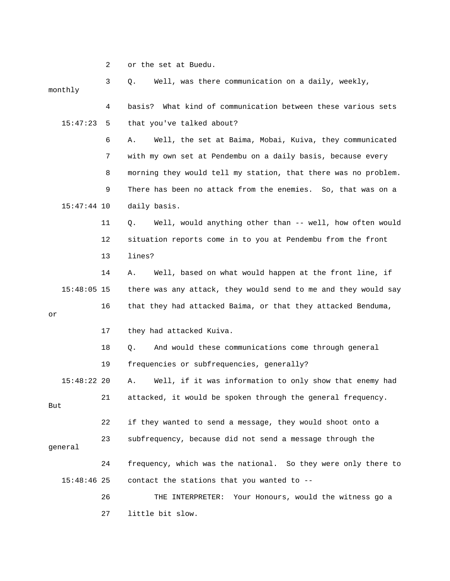2 or the set at Buedu.

 3 Q. Well, was there communication on a daily, weekly, monthly 4 basis? What kind of communication between these various sets 15:47:23 5 that you've talked about? 6 A. Well, the set at Baima, Mobai, Kuiva, they communicated 7 with my own set at Pendembu on a daily basis, because every 8 morning they would tell my station, that there was no problem. 9 There has been no attack from the enemies. So, that was on a 15:47:44 10 daily basis. 11 Q. Well, would anything other than -- well, how often would 12 situation reports come in to you at Pendembu from the front 13 lines? 14 A. Well, based on what would happen at the front line, if 15:48:05 15 there was any attack, they would send to me and they would say 16 that they had attacked Baima, or that they attacked Benduma, or 17 they had attacked Kuiva. 18 Q. And would these communications come through general 19 frequencies or subfrequencies, generally? 15:48:22 20 A. Well, if it was information to only show that enemy had 21 attacked, it would be spoken through the general frequency. But 22 if they wanted to send a message, they would shoot onto a 23 subfrequency, because did not send a message through the general 24 frequency, which was the national. So they were only there to 15:48:46 25 contact the stations that you wanted to -- 26 THE INTERPRETER: Your Honours, would the witness go a 27 little bit slow.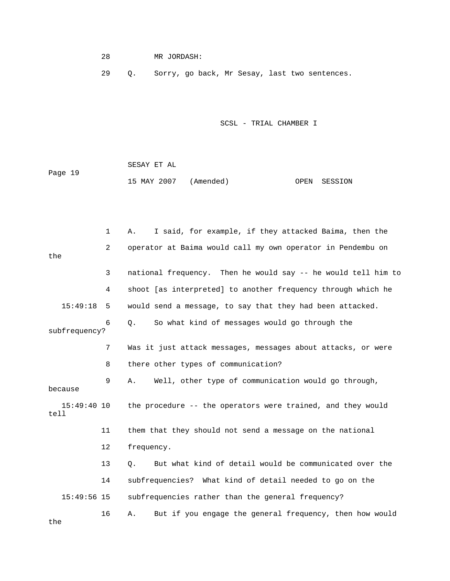# 28 MR JORDASH:

29 Q. Sorry, go back, Mr Sesay, last two sentences.

| Page 19 | SESAY ET AL           |  |              |
|---------|-----------------------|--|--------------|
|         | 15 MAY 2007 (Amended) |  | OPEN SESSION |

|                       | $\mathbf 1$ | I said, for example, if they attacked Baima, then the<br>Α.   |
|-----------------------|-------------|---------------------------------------------------------------|
| the                   | 2           | operator at Baima would call my own operator in Pendembu on   |
|                       | 3           | national frequency. Then he would say -- he would tell him to |
|                       | 4           | shoot [as interpreted] to another frequency through which he  |
| 15:49:18              | 5           | would send a message, to say that they had been attacked.     |
| subfrequency?         | 6           | So what kind of messages would go through the<br>Q.           |
|                       | 7           | Was it just attack messages, messages about attacks, or were  |
|                       | 8           | there other types of communication?                           |
| because               | 9           | Well, other type of communication would go through,<br>Α.     |
| $15:49:40$ 10<br>tell |             | the procedure -- the operators were trained, and they would   |
|                       | 11          | them that they should not send a message on the national      |
|                       | 12          | frequency.                                                    |
|                       | 13          | But what kind of detail would be communicated over the<br>О.  |
|                       | 14          | subfrequencies? What kind of detail needed to go on the       |
| $15:49:56$ 15         |             | subfrequencies rather than the general frequency?             |
| the                   | 16          | But if you engage the general frequency, then how would<br>Α. |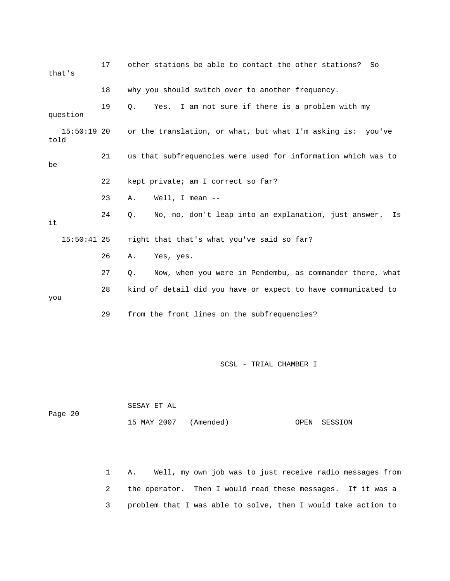| that's                | 17 | other stations be able to contact the other stations?<br>So      |
|-----------------------|----|------------------------------------------------------------------|
|                       | 18 | why you should switch over to another frequency.                 |
| question              | 19 | I am not sure if there is a problem with my<br>Q.<br>Yes.        |
| $15:50:19$ 20<br>told |    | or the translation, or what, but what I'm asking is: you've      |
| be                    | 21 | us that subfrequencies were used for information which was to    |
|                       | 22 | kept private; am I correct so far?                               |
|                       | 23 | Well, I mean $--$<br>Α.                                          |
| it                    | 24 | No, no, don't leap into an explanation, just answer.<br>Q.<br>Is |
| $15:50:41$ 25         |    | right that that's what you've said so far?                       |
|                       | 26 | Yes, yes.<br>Α.                                                  |
|                       | 27 | Now, when you were in Pendembu, as commander there, what<br>Q.   |
| you                   | 28 | kind of detail did you have or expect to have communicated to    |
|                       | 29 | from the front lines on the subfrequencies?                      |
|                       |    |                                                                  |

| Page 20 | SESAY ET AL           |  |              |
|---------|-----------------------|--|--------------|
|         | 15 MAY 2007 (Amended) |  | OPEN SESSION |

 1 A. Well, my own job was to just receive radio messages from 2 the operator. Then I would read these messages. If it was a 3 problem that I was able to solve, then I would take action to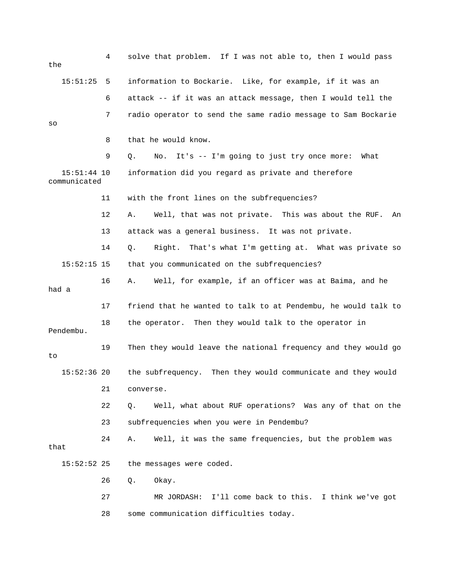| the   |                               | 4  | solve that problem. If I was not able to, then I would pass     |
|-------|-------------------------------|----|-----------------------------------------------------------------|
|       | 15:51:25                      | 5  | information to Bockarie. Like, for example, if it was an        |
|       |                               | 6  | attack -- if it was an attack message, then I would tell the    |
| SO    |                               | 7  | radio operator to send the same radio message to Sam Bockarie   |
|       |                               | 8  | that he would know.                                             |
|       |                               | 9  | It's -- I'm going to just try once more:<br>Q.<br>No.<br>What   |
|       | $15:51:44$ 10<br>communicated |    | information did you regard as private and therefore             |
|       |                               | 11 | with the front lines on the subfrequencies?                     |
|       |                               | 12 | Well, that was not private. This was about the RUF.<br>Α.<br>An |
|       |                               | 13 | attack was a general business. It was not private.              |
|       |                               | 14 | Right. That's what I'm getting at. What was private so<br>Q.    |
|       | $15:52:15$ 15                 |    | that you communicated on the subfrequencies?                    |
| had a |                               | 16 | Well, for example, if an officer was at Baima, and he<br>Α.     |
|       |                               | 17 | friend that he wanted to talk to at Pendembu, he would talk to  |
|       | Pendembu.                     | 18 | the operator. Then they would talk to the operator in           |
| to    |                               | 19 | Then they would leave the national frequency and they would go  |
|       | $15:52:36$ 20                 |    | the subfrequency. Then they would communicate and they would    |
|       |                               | 21 | converse.                                                       |
|       |                               | 22 | Well, what about RUF operations? Was any of that on the<br>Q.   |
|       |                               | 23 | subfrequencies when you were in Pendembu?                       |
| that  |                               | 24 | Well, it was the same frequencies, but the problem was<br>Α.    |
|       | $15:52:52$ 25                 |    | the messages were coded.                                        |
|       |                               | 26 | Okay.<br>Q.                                                     |
|       |                               | 27 | I'll come back to this. I think we've got<br>MR JORDASH:        |
|       |                               | 28 | some communication difficulties today.                          |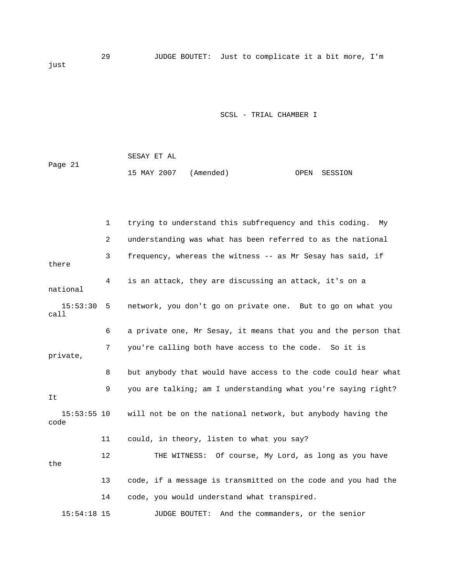29 JUDGE BOUTET: Just to complicate it a bit more, I'm just

### SCSL - TRIAL CHAMBER I

|         | SESAY ET AL           |  |              |
|---------|-----------------------|--|--------------|
| Page 21 |                       |  |              |
|         | 15 MAY 2007 (Amended) |  | OPEN SESSION |

 1 trying to understand this subfrequency and this coding. My 2 understanding was what has been referred to as the national 3 frequency, whereas the witness -- as Mr Sesay has said, if there 4 is an attack, they are discussing an attack, it's on a national 15:53:30 5 network, you don't go on private one. But to go on what you call 6 a private one, Mr Sesay, it means that you and the person that 7 you're calling both have access to the code. So it is private, 8 but anybody that would have access to the code could hear what 9 you are talking; am I understanding what you're saying right? It 15:53:55 10 will not be on the national network, but anybody having the code 11 could, in theory, listen to what you say? 12 THE WITNESS: Of course, My Lord, as long as you have the 13 code, if a message is transmitted on the code and you had the 14 code, you would understand what transpired. 15:54:18 15 JUDGE BOUTET: And the commanders, or the senior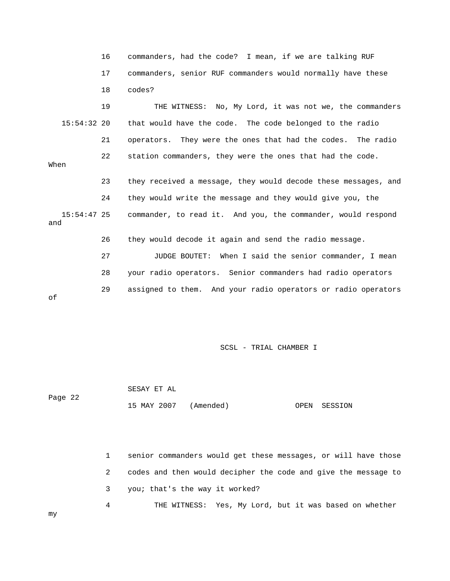|                      | 16 | commanders, had the code? I mean, if we are talking RUF        |
|----------------------|----|----------------------------------------------------------------|
|                      | 17 | commanders, senior RUF commanders would normally have these    |
|                      | 18 | codes?                                                         |
|                      | 19 | THE WITNESS: No, My Lord, it was not we, the commanders        |
| $15:54:32$ 20        |    | that would have the code. The code belonged to the radio       |
|                      | 21 | operators. They were the ones that had the codes. The radio    |
| When                 | 22 | station commanders, they were the ones that had the code.      |
|                      | 23 | they received a message, they would decode these messages, and |
|                      | 24 | they would write the message and they would give you, the      |
| $15:54:47$ 25<br>and |    | commander, to read it. And you, the commander, would respond   |
|                      | 26 | they would decode it again and send the radio message.         |
|                      | 27 | When I said the senior commander, I mean<br>JUDGE BOUTET:      |
|                      | 28 | your radio operators. Senior commanders had radio operators    |
| оf                   | 29 | assigned to them. And your radio operators or radio operators  |

 SESAY ET AL Page 22 15 MAY 2007 (Amended) OPEN SESSION

> 1 senior commanders would get these messages, or will have those 2 codes and then would decipher the code and give the message to 3 you; that's the way it worked?

4 THE WITNESS: Yes, My Lord, but it was based on whether

my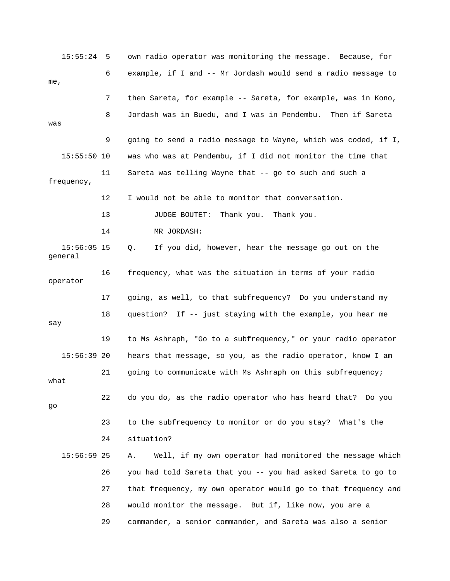15:55:24 5 own radio operator was monitoring the message. Because, for 6 example, if I and -- Mr Jordash would send a radio message to me, 7 then Sareta, for example -- Sareta, for example, was in Kono, 8 Jordash was in Buedu, and I was in Pendembu. Then if Sareta was 9 going to send a radio message to Wayne, which was coded, if I, 15:55:50 10 was who was at Pendembu, if I did not monitor the time that 11 Sareta was telling Wayne that -- go to such and such a frequency, 12 I would not be able to monitor that conversation. 13 JUDGE BOUTET: Thank you. Thank you. 14 MR JORDASH: 15:56:05 15 Q. If you did, however, hear the message go out on the general 16 frequency, what was the situation in terms of your radio operator 17 going, as well, to that subfrequency? Do you understand my 18 question? If -- just staying with the example, you hear me say 19 to Ms Ashraph, "Go to a subfrequency," or your radio operator 15:56:39 20 hears that message, so you, as the radio operator, know I am 21 going to communicate with Ms Ashraph on this subfrequency; what 22 do you do, as the radio operator who has heard that? Do you go 23 to the subfrequency to monitor or do you stay? What's the 24 situation? 15:56:59 25 A. Well, if my own operator had monitored the message which 26 you had told Sareta that you -- you had asked Sareta to go to 27 that frequency, my own operator would go to that frequency and 28 would monitor the message. But if, like now, you are a 29 commander, a senior commander, and Sareta was also a senior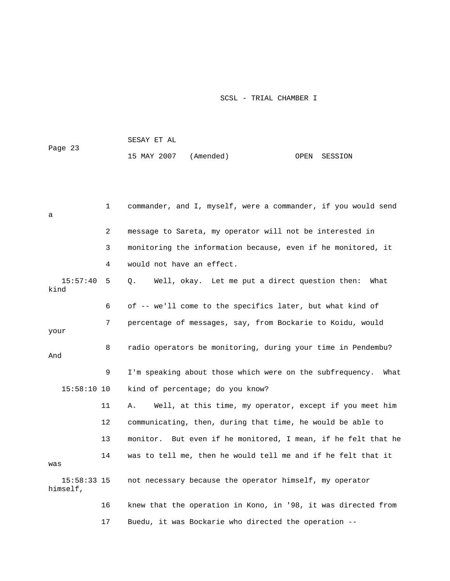15 MAY 2007 (Amended) OPEN SESSION 1 commander, and I, myself, were a commander, if you would send a 2 message to Sareta, my operator will not be interested in 3 monitoring the information because, even if he monitored, it 4 would not have an effect. 15:57:40 5 Q. Well, okay. Let me put a direct question then: What kind 6 of -- we'll come to the specifics later, but what kind of 7 percentage of messages, say, from Bockarie to Koidu, would your 8 radio operators be monitoring, during your time in Pendembu? And 9 I'm speaking about those which were on the subfrequency. What 15:58:10 10 kind of percentage; do you know? 11 A. Well, at this time, my operator, except if you meet him 12 communicating, then, during that time, he would be able to 13 monitor. But even if he monitored, I mean, if he felt that he 14 was to tell me, then he would tell me and if he felt that it was 15:58:33 15 not necessary because the operator himself, my operator himself, 16 knew that the operation in Kono, in '98, it was directed from 17 Buedu, it was Bockarie who directed the operation --

SESAY ET AL

Page 23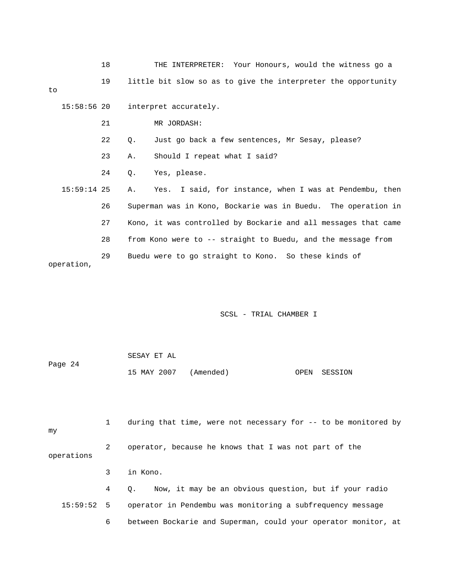|    |               | 18 |    | THE INTERPRETER: Your Honours, would the witness go a          |
|----|---------------|----|----|----------------------------------------------------------------|
| to |               | 19 |    | little bit slow so as to give the interpreter the opportunity  |
|    | 15:58:56 20   |    |    | interpret accurately.                                          |
|    |               | 21 |    | MR JORDASH:                                                    |
|    |               | 22 | Q. | Just go back a few sentences, Mr Sesay, please?                |
|    |               | 23 | Α. | Should I repeat what I said?                                   |
|    |               | 24 | Q. | Yes, please.                                                   |
|    | $15:59:14$ 25 |    | Α. | Yes. I said, for instance, when I was at Pendembu, then        |
|    |               | 26 |    | Superman was in Kono, Bockarie was in Buedu. The operation in  |
|    |               | 27 |    | Kono, it was controlled by Bockarie and all messages that came |
|    |               | 28 |    | from Kono were to -- straight to Buedu, and the message from   |
|    | operation,    | 29 |    | Buedu were to go straight to Kono. So these kinds of           |

|         | SESAY ET AL           |              |  |
|---------|-----------------------|--------------|--|
| Page 24 |                       |              |  |
|         | 15 MAY 2007 (Amended) | OPEN SESSION |  |

 1 during that time, were not necessary for -- to be monitored by my 2 operator, because he knows that I was not part of the operations 3 in Kono. 4 Q. Now, it may be an obvious question, but if your radio 15:59:52 5 operator in Pendembu was monitoring a subfrequency message 6 between Bockarie and Superman, could your operator monitor, at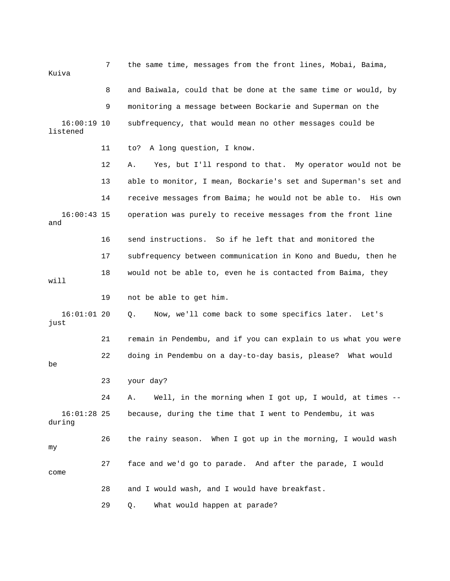| Kuiva                     | 7  | the same time, messages from the front lines, Mobai, Baima,      |
|---------------------------|----|------------------------------------------------------------------|
|                           | 8  | and Baiwala, could that be done at the same time or would, by    |
|                           | 9  | monitoring a message between Bockarie and Superman on the        |
| $16:00:19$ 10<br>listened |    | subfrequency, that would mean no other messages could be         |
|                           | 11 | A long question, I know.<br>to?                                  |
|                           | 12 | Yes, but I'll respond to that. My operator would not be<br>Α.    |
|                           | 13 | able to monitor, I mean, Bockarie's set and Superman's set and   |
|                           | 14 | receive messages from Baima; he would not be able to.<br>His own |
| $16:00:43$ 15<br>and      |    | operation was purely to receive messages from the front line     |
|                           | 16 | send instructions. So if he left that and monitored the          |
|                           | 17 | subfrequency between communication in Kono and Buedu, then he    |
| will                      | 18 | would not be able to, even he is contacted from Baima, they      |
|                           | 19 | not be able to get him.                                          |
| $16:01:01$ 20<br>just     |    | Now, we'll come back to some specifics later.<br>Q.<br>Let's     |
|                           | 21 | remain in Pendembu, and if you can explain to us what you were   |
| be                        | 22 | doing in Pendembu on a day-to-day basis, please? What would      |
|                           | 23 | your day?                                                        |
|                           | 24 | Well, in the morning when I got up, I would, at times --<br>Α.   |
| $16:01:28$ 25<br>during   |    | because, during the time that I went to Pendembu, it was         |
| my                        | 26 | the rainy season. When I got up in the morning, I would wash     |
| come                      | 27 | face and we'd go to parade. And after the parade, I would        |
|                           | 28 | and I would wash, and I would have breakfast.                    |
|                           | 29 | What would happen at parade?<br>Q.                               |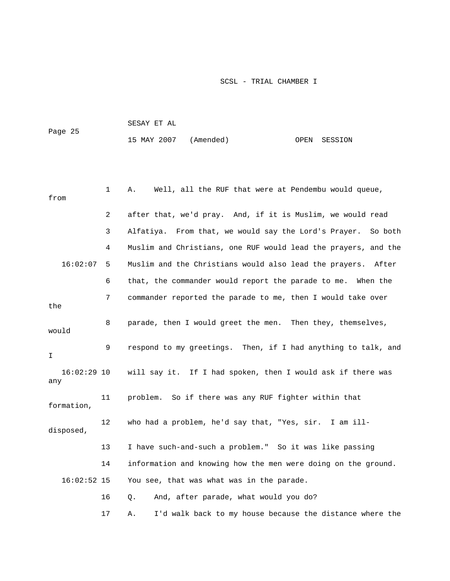| Page 25 | SESAY ET AL           |  |              |
|---------|-----------------------|--|--------------|
|         | 15 MAY 2007 (Amended) |  | OPEN SESSION |

| from                 | 1                                                           | Well, all the RUF that were at Pendembu would queue,<br>Α.      |
|----------------------|-------------------------------------------------------------|-----------------------------------------------------------------|
|                      | 2                                                           | after that, we'd pray. And, if it is Muslim, we would read      |
|                      | 3                                                           | Alfatiya. From that, we would say the Lord's Prayer.<br>So both |
|                      | 4                                                           | Muslim and Christians, one RUF would lead the prayers, and the  |
| 16:02:07             | 5                                                           | Muslim and the Christians would also lead the prayers. After    |
|                      | 6                                                           | that, the commander would report the parade to me. When the     |
| the                  | 7                                                           | commander reported the parade to me, then I would take over     |
| would                | 8                                                           | parade, then I would greet the men. Then they, themselves,      |
| I.                   | 9                                                           | respond to my greetings. Then, if I had anything to talk, and   |
| $16:02:29$ 10<br>any | will say it. If I had spoken, then I would ask if there was |                                                                 |
| formation,           | 11                                                          | problem. So if there was any RUF fighter within that            |
| disposed,            | 12                                                          | who had a problem, he'd say that, "Yes, sir. I am ill-          |
|                      | 13                                                          | I have such-and-such a problem." So it was like passing         |
|                      | 14                                                          | information and knowing how the men were doing on the ground.   |
| $16:02:52$ 15        |                                                             | You see, that was what was in the parade.                       |
|                      | 16                                                          | And, after parade, what would you do?<br>Q.                     |
|                      | 17                                                          | I'd walk back to my house because the distance where the<br>Α.  |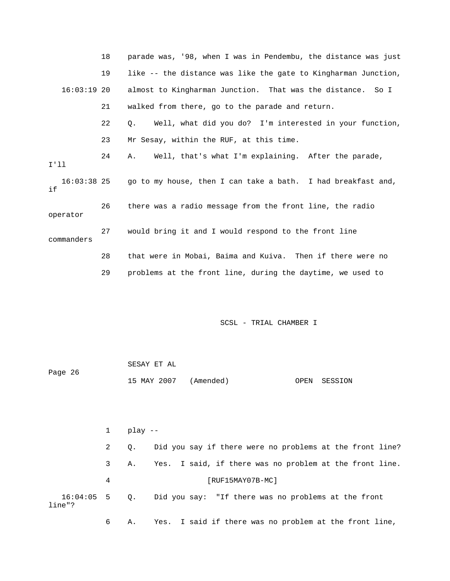|                      | 18 | parade was, '98, when I was in Pendembu, the distance was just |
|----------------------|----|----------------------------------------------------------------|
|                      | 19 | like -- the distance was like the gate to Kingharman Junction, |
| $16:03:19$ 20        |    | almost to Kingharman Junction. That was the distance. So I     |
|                      | 21 | walked from there, go to the parade and return.                |
|                      | 22 | Well, what did you do? I'm interested in your function,<br>О.  |
|                      | 23 | Mr Sesay, within the RUF, at this time.                        |
| I'll                 | 24 | Well, that's what I'm explaining. After the parade,<br>A.,     |
| $16:03:38$ 25<br>i f |    | go to my house, then I can take a bath. I had breakfast and,   |
| operator             | 26 | there was a radio message from the front line, the radio       |
| commanders           | 27 | would bring it and I would respond to the front line           |
|                      | 28 | that were in Mobai, Baima and Kuiva. Then if there were no     |
|                      | 29 | problems at the front line, during the daytime, we used to     |
|                      |    |                                                                |

| Page 26 | SESAY ET AL |                       |              |
|---------|-------------|-----------------------|--------------|
|         |             | 15 MAY 2007 (Amended) | OPEN SESSION |

 1 play -- 2 Q. Did you say if there were no problems at the front line? 3 A. Yes. I said, if there was no problem at the front line. 4 [RUF15MAY07B-MC] 16:04:05 5 Q. Did you say: "If there was no problems at the front line"? 6 A. Yes. I said if there was no problem at the front line,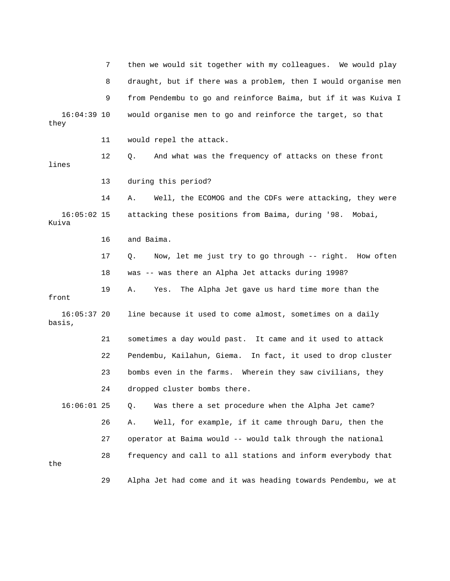7 then we would sit together with my colleagues. We would play 8 draught, but if there was a problem, then I would organise men 9 from Pendembu to go and reinforce Baima, but if it was Kuiva I 16:04:39 10 would organise men to go and reinforce the target, so that they 11 would repel the attack. 12 Q. And what was the frequency of attacks on these front lines 13 during this period? 14 A. Well, the ECOMOG and the CDFs were attacking, they were 16:05:02 15 attacking these positions from Baima, during '98. Mobai, Kuiva 16 and Baima. 17 Q. Now, let me just try to go through -- right. How often 18 was -- was there an Alpha Jet attacks during 1998? 19 A. Yes. The Alpha Jet gave us hard time more than the front 16:05:37 20 line because it used to come almost, sometimes on a daily basis, 21 sometimes a day would past. It came and it used to attack 22 Pendembu, Kailahun, Giema. In fact, it used to drop cluster 23 bombs even in the farms. Wherein they saw civilians, they 24 dropped cluster bombs there. 16:06:01 25 Q. Was there a set procedure when the Alpha Jet came? 26 A. Well, for example, if it came through Daru, then the 27 operator at Baima would -- would talk through the national 28 frequency and call to all stations and inform everybody that the 29 Alpha Jet had come and it was heading towards Pendembu, we at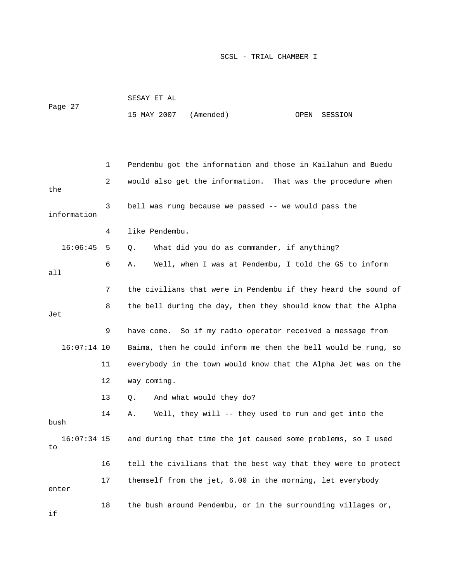|                     |    | SESAY ET AL                                                    |  |  |  |  |
|---------------------|----|----------------------------------------------------------------|--|--|--|--|
| Page 27             |    | 15 MAY 2007<br>(Amended)<br>OPEN<br>SESSION                    |  |  |  |  |
|                     |    |                                                                |  |  |  |  |
|                     |    |                                                                |  |  |  |  |
|                     | 1  | Pendembu got the information and those in Kailahun and Buedu   |  |  |  |  |
| the                 | 2  | would also get the information. That was the procedure when    |  |  |  |  |
| information         | 3  | bell was rung because we passed -- we would pass the           |  |  |  |  |
|                     | 4  | like Pendembu.                                                 |  |  |  |  |
| 16:06:45            | 5  | What did you do as commander, if anything?<br>Q.               |  |  |  |  |
| all                 | 6  | Well, when I was at Pendembu, I told the G5 to inform<br>Α.    |  |  |  |  |
|                     | 7  | the civilians that were in Pendembu if they heard the sound of |  |  |  |  |
| Jet                 | 8  | the bell during the day, then they should know that the Alpha  |  |  |  |  |
|                     | 9  | have come. So if my radio operator received a message from     |  |  |  |  |
| $16:07:14$ 10       |    | Baima, then he could inform me then the bell would be rung, so |  |  |  |  |
|                     | 11 | everybody in the town would know that the Alpha Jet was on the |  |  |  |  |
|                     | 12 | way coming.                                                    |  |  |  |  |
|                     | 13 | And what would they do?<br>Q.                                  |  |  |  |  |
| bush                | 14 | Well, they will -- they used to run and get into the<br>Α.     |  |  |  |  |
| $16:07:34$ 15<br>to |    | and during that time the jet caused some problems, so I used   |  |  |  |  |
|                     | 16 | tell the civilians that the best way that they were to protect |  |  |  |  |
| enter               | 17 | themself from the jet, 6.00 in the morning, let everybody      |  |  |  |  |
| if                  | 18 | the bush around Pendembu, or in the surrounding villages or,   |  |  |  |  |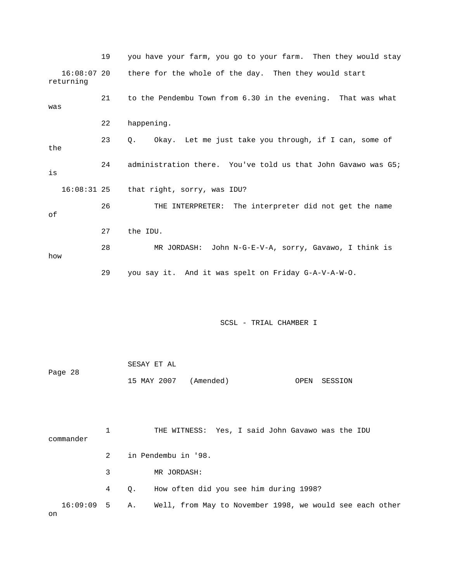19 you have your farm, you go to your farm. Then they would stay 16:08:07 20 there for the whole of the day. Then they would start returning 21 to the Pendembu Town from 6.30 in the evening. That was what was 22 happening. 23 Q. Okay. Let me just take you through, if I can, some of the 24 administration there. You've told us that John Gavawo was G5; is 16:08:31 25 that right, sorry, was IDU? 26 THE INTERPRETER: The interpreter did not get the name of 27 the IDU. 28 MR JORDASH: John N-G-E-V-A, sorry, Gavawo, I think is how 29 you say it. And it was spelt on Friday G-A-V-A-W-O.

SCSL - TRIAL CHAMBER I

|         | SESAY ET AL           |  |              |
|---------|-----------------------|--|--------------|
| Page 28 |                       |  |              |
|         | 15 MAY 2007 (Amended) |  | OPEN SESSION |

 1 THE WITNESS: Yes, I said John Gavawo was the IDU commander 2 in Pendembu in '98. 3 MR JORDASH: 4 Q. How often did you see him during 1998? 16:09:09 5 A. Well, from May to November 1998, we would see each other on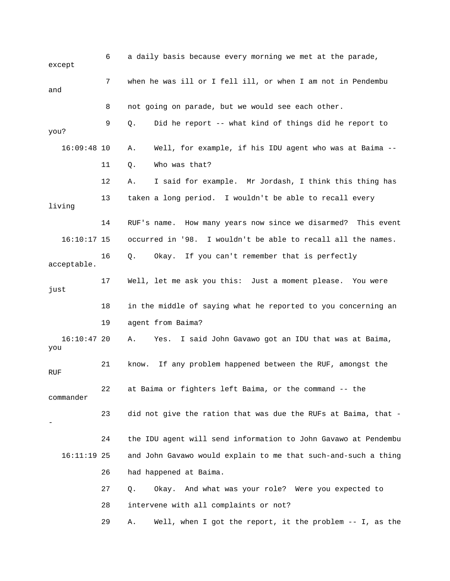6 a daily basis because every morning we met at the parade, except 7 when he was ill or I fell ill, or when I am not in Pendembu and 8 not going on parade, but we would see each other. 9 Q. Did he report -- what kind of things did he report to you? 16:09:48 10 A. Well, for example, if his IDU agent who was at Baima -- 11 Q. Who was that? 12 A. I said for example. Mr Jordash, I think this thing has 13 taken a long period. I wouldn't be able to recall every living 14 RUF's name. How many years now since we disarmed? This event 16:10:17 15 occurred in '98. I wouldn't be able to recall all the names. 16 Q. Okay. If you can't remember that is perfectly acceptable. 17 Well, let me ask you this: Just a moment please. You were just 18 in the middle of saying what he reported to you concerning an 19 agent from Baima? 16:10:47 20 A. Yes. I said John Gavawo got an IDU that was at Baima, you 21 know. If any problem happened between the RUF, amongst the RUF 22 at Baima or fighters left Baima, or the command -- the commander 23 did not give the ration that was due the RUFs at Baima, that - - 24 the IDU agent will send information to John Gavawo at Pendembu 16:11:19 25 and John Gavawo would explain to me that such-and-such a thing 26 had happened at Baima. 27 Q. Okay. And what was your role? Were you expected to 28 intervene with all complaints or not? 29 A. Well, when I got the report, it the problem -- I, as the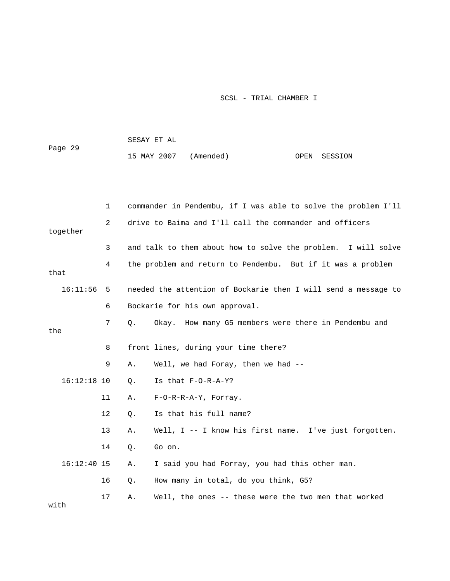| Page 29 | SESAY ET AL           |  |              |
|---------|-----------------------|--|--------------|
|         | 15 MAY 2007 (Amended) |  | OPEN SESSION |

|               | 1  |       | commander in Pendembu, if I was able to solve the problem I'll |
|---------------|----|-------|----------------------------------------------------------------|
| together      | 2  |       | drive to Baima and I'll call the commander and officers        |
|               | 3  |       | and talk to them about how to solve the problem. I will solve  |
| that          | 4  |       | the problem and return to Pendembu. But if it was a problem    |
| 16:11:56      | 5  |       | needed the attention of Bockarie then I will send a message to |
|               | 6  |       | Bockarie for his own approval.                                 |
| the           | 7  | Q.    | Okay. How many G5 members were there in Pendembu and           |
|               | 8  |       | front lines, during your time there?                           |
|               | 9  | Α.    | Well, we had Foray, then we had --                             |
| $16:12:18$ 10 |    | $Q$ . | Is that F-O-R-A-Y?                                             |
|               | 11 | Α.    | $F-O-R-R-A-Y$ , Forray.                                        |
|               | 12 | Q.    | Is that his full name?                                         |
|               | 13 | Α.    | Well, I -- I know his first name. I've just forgotten.         |
|               | 14 | Q.    | Go on.                                                         |
| $16:12:40$ 15 |    | Α.    | I said you had Forray, you had this other man.                 |
|               | 16 | Q.    | How many in total, do you think, G5?                           |
| with          | 17 | Α.    | Well, the ones -- these were the two men that worked           |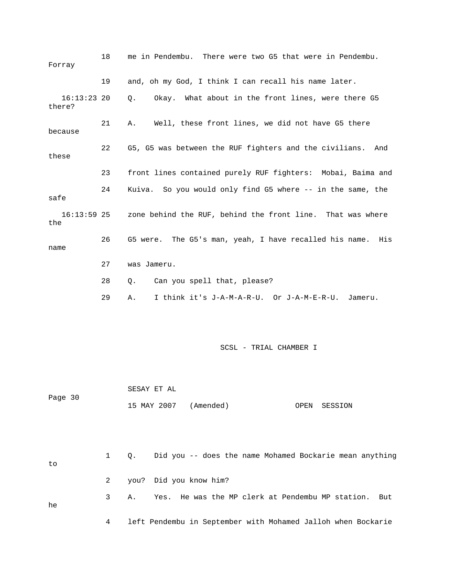| Forray                  | 18 | me in Pendembu. There were two G5 that were in Pendembu.         |
|-------------------------|----|------------------------------------------------------------------|
|                         | 19 | and, oh my God, I think I can recall his name later.             |
| $16:13:23$ 20<br>there? |    | Okay. What about in the front lines, were there G5<br>Q.         |
| because                 | 21 | Well, these front lines, we did not have G5 there<br>Α.          |
| these                   | 22 | G5, G5 was between the RUF fighters and the civilians.<br>And    |
|                         | 23 | front lines contained purely RUF fighters: Mobai, Baima and      |
| safe                    | 24 | Kuiva. So you would only find G5 where -- in the same, the       |
| $16:13:59$ 25<br>the    |    | zone behind the RUF, behind the front line. That was where       |
| name                    | 26 | G5 were. The G5's man, yeah, I have recalled his name.<br>His    |
|                         | 27 | was Jameru.                                                      |
|                         | 28 | Can you spell that, please?<br>Q.                                |
|                         | 29 | I think it's J-A-M-A-R-U. Or J-A-M-E-R-U.<br>Jameru.<br>Α.       |
|                         |    | SCSL - TRIAL CHAMBER I                                           |
| Page 30                 |    | SESAY ET AL<br>15 MAY 2007<br>(Amended)<br>OPEN<br>SESSION       |
| to                      | 1  | Did you -- does the name Mohamed Bockarie mean anything<br>Q.    |
|                         | 2  | you? Did you know him?                                           |
| he                      | 3  | He was the MP clerk at Pendembu MP station.<br>Α.<br>Yes.<br>But |

4 left Pendembu in September with Mohamed Jalloh when Bockarie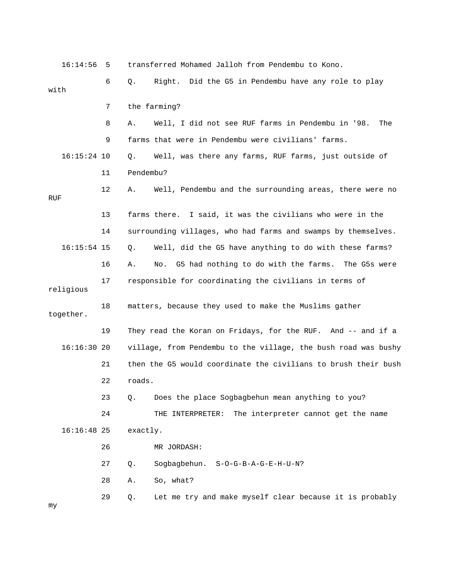16:14:56 5 transferred Mohamed Jalloh from Pendembu to Kono. 6 Q. Right. Did the G5 in Pendembu have any role to play with 7 the farming? 8 A. Well, I did not see RUF farms in Pendembu in '98. The 9 farms that were in Pendembu were civilians' farms. 16:15:24 10 Q. Well, was there any farms, RUF farms, just outside of 11 Pendembu? 12 A. Well, Pendembu and the surrounding areas, there were no RUF 13 farms there. I said, it was the civilians who were in the 14 surrounding villages, who had farms and swamps by themselves. 16:15:54 15 Q. Well, did the G5 have anything to do with these farms? 16 A. No. G5 had nothing to do with the farms. The G5s were 17 responsible for coordinating the civilians in terms of religious 18 matters, because they used to make the Muslims gather together. 19 They read the Koran on Fridays, for the RUF. And -- and if a 16:16:30 20 village, from Pendembu to the village, the bush road was bushy 21 then the G5 would coordinate the civilians to brush their bush 22 roads. 23 Q. Does the place Sogbagbehun mean anything to you? 24 THE INTERPRETER: The interpreter cannot get the name 16:16:48 25 exactly. 26 MR JORDASH: 27 Q. Sogbagbehun. S-O-G-B-A-G-E-H-U-N? 28 A. So, what? 29 Q. Let me try and make myself clear because it is probably my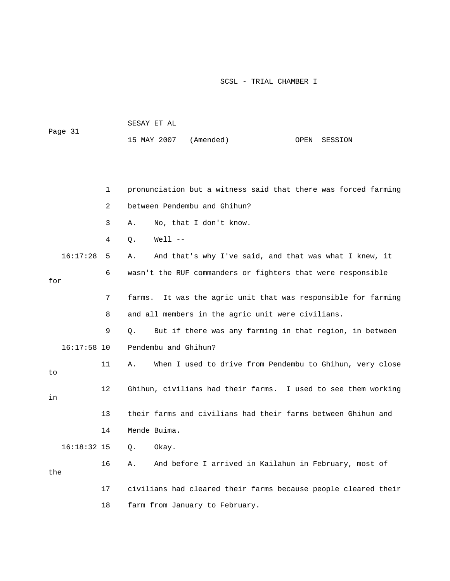| Page 31 | SESAY ET AL           |  |              |
|---------|-----------------------|--|--------------|
|         | 15 MAY 2007 (Amended) |  | OPEN SESSION |

|     |               | $\mathbf{1}$ | pronunciation but a witness said that there was forced farming   |
|-----|---------------|--------------|------------------------------------------------------------------|
|     |               | 2            | between Pendembu and Ghihun?                                     |
|     |               | 3            | No, that I don't know.<br>Α.                                     |
|     |               | 4            | $Well 1 - -$<br>Q.                                               |
|     | 16:17:28      | 5            | And that's why I've said, and that was what I knew, it<br>Α.     |
| for |               | 6            | wasn't the RUF commanders or fighters that were responsible      |
|     |               | 7            | It was the agric unit that was responsible for farming<br>farms. |
|     |               | 8            | and all members in the agric unit were civilians.                |
|     |               | 9            | But if there was any farming in that region, in between<br>Q.    |
|     | $16:17:58$ 10 |              | Pendembu and Ghihun?                                             |
| to  |               | 11           | When I used to drive from Pendembu to Ghihun, very close<br>Α.   |
| in  |               | 12           | Ghihun, civilians had their farms. I used to see them working    |
|     |               | 13           | their farms and civilians had their farms between Ghihun and     |
|     |               | 14           | Mende Buima.                                                     |
|     | $16:18:32$ 15 |              | Okay.<br>$Q$ .                                                   |
| the |               | 16           | And before I arrived in Kailahun in February, most of<br>Α.      |
|     |               | 17           | civilians had cleared their farms because people cleared their   |
|     |               | 18           | farm from January to February.                                   |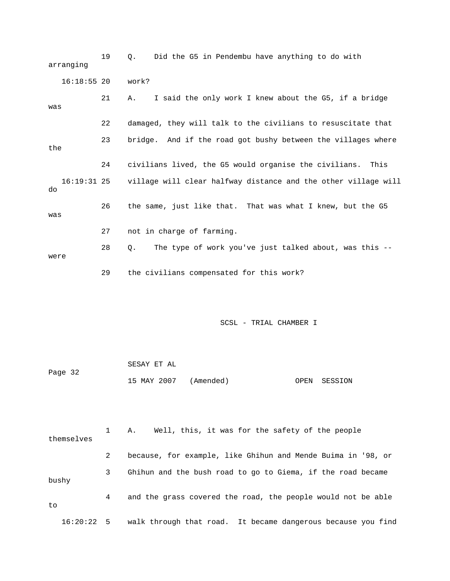19 Q. Did the G5 in Pendembu have anything to do with arranging 16:18:55 20 work? 21 A. I said the only work I knew about the G5, if a bridge was 22 damaged, they will talk to the civilians to resuscitate that 23 bridge. And if the road got bushy between the villages where the 24 civilians lived, the G5 would organise the civilians. This 16:19:31 25 village will clear halfway distance and the other village will do 26 the same, just like that. That was what I knew, but the G5 was 27 not in charge of farming. 28 Q. The type of work you've just talked about, was this - were 29 the civilians compensated for this work?

SCSL - TRIAL CHAMBER I

|         | SESAY ET AL           |  |              |
|---------|-----------------------|--|--------------|
| Page 32 |                       |  |              |
|         | 15 MAY 2007 (Amended) |  | OPEN SESSION |

 1 A. Well, this, it was for the safety of the people themselves 2 because, for example, like Ghihun and Mende Buima in '98, or 3 Ghihun and the bush road to go to Giema, if the road became bushy 4 and the grass covered the road, the people would not be able to 16:20:22 5 walk through that road. It became dangerous because you find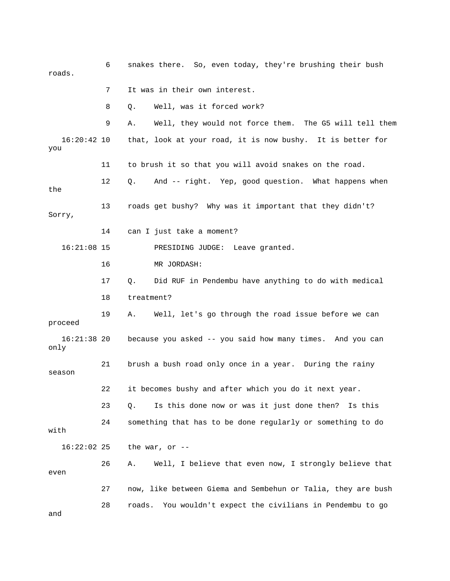6 snakes there. So, even today, they're brushing their bush roads. 7 It was in their own interest. 8 Q. Well, was it forced work? 9 A. Well, they would not force them. The G5 will tell them 16:20:42 10 that, look at your road, it is now bushy. It is better for you 11 to brush it so that you will avoid snakes on the road. 12 Q. And -- right. Yep, good question. What happens when the 13 roads get bushy? Why was it important that they didn't? Sorry, 14 can I just take a moment? 16:21:08 15 PRESIDING JUDGE: Leave granted. 16 MR JORDASH: 17 Q. Did RUF in Pendembu have anything to do with medical 18 treatment? 19 A. Well, let's go through the road issue before we can proceed 16:21:38 20 because you asked -- you said how many times. And you can only 21 brush a bush road only once in a year. During the rainy season 22 it becomes bushy and after which you do it next year. 23 Q. Is this done now or was it just done then? Is this 24 something that has to be done regularly or something to do with 16:22:02 25 the war, or -- 26 A. Well, I believe that even now, I strongly believe that even 27 now, like between Giema and Sembehun or Talia, they are bush 28 roads. You wouldn't expect the civilians in Pendembu to go and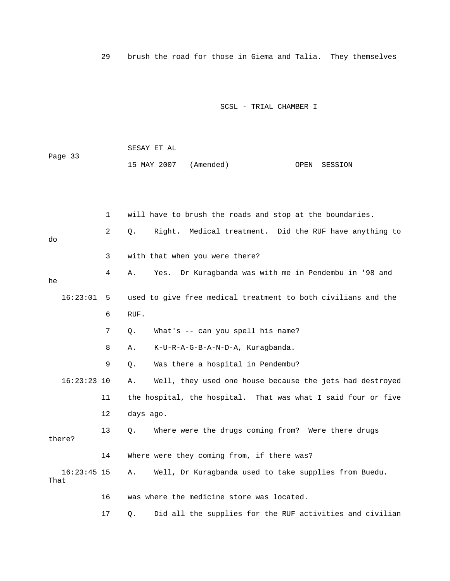29 brush the road for those in Giema and Talia. They themselves

|         | SESAY ET AL           |  |              |
|---------|-----------------------|--|--------------|
| Page 33 |                       |  |              |
|         | 15 MAY 2007 (Amended) |  | OPEN SESSION |

|                       | $\mathbf 1$ | will have to brush the roads and stop at the boundaries.       |  |  |  |
|-----------------------|-------------|----------------------------------------------------------------|--|--|--|
| do                    | 2           | Right. Medical treatment. Did the RUF have anything to<br>Q.   |  |  |  |
|                       | 3           | with that when you were there?                                 |  |  |  |
| he                    | 4           | Dr Kuragbanda was with me in Pendembu in '98 and<br>Yes.<br>Α. |  |  |  |
| 16:23:01              | - 5         | used to give free medical treatment to both civilians and the  |  |  |  |
|                       | 6           | RUF.                                                           |  |  |  |
|                       | 7           | What's -- can you spell his name?<br>Q.                        |  |  |  |
|                       | 8           | K-U-R-A-G-B-A-N-D-A, Kuraqbanda.<br>Α.                         |  |  |  |
|                       | 9           | Was there a hospital in Pendembu?<br>Q.                        |  |  |  |
| $16:23:23$ 10         |             | Well, they used one house because the jets had destroyed<br>Α. |  |  |  |
|                       | 11          | the hospital, the hospital. That was what I said four or five  |  |  |  |
|                       | 12          | days ago.                                                      |  |  |  |
| there?                | 13          | Where were the drugs coming from? Were there drugs<br>О.       |  |  |  |
|                       | 14          | Where were they coming from, if there was?                     |  |  |  |
| $16:23:45$ 15<br>That |             | Well, Dr Kuragbanda used to take supplies from Buedu.<br>Α.    |  |  |  |
|                       | 16          | was where the medicine store was located.                      |  |  |  |
|                       | 17          | Did all the supplies for the RUF activities and civilian<br>Q. |  |  |  |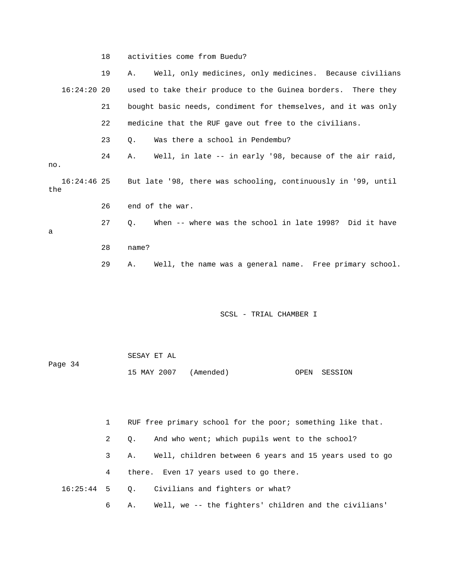18 activities come from Buedu?

 19 A. Well, only medicines, only medicines. Because civilians 16:24:20 20 used to take their produce to the Guinea borders. There they 21 bought basic needs, condiment for themselves, and it was only 22 medicine that the RUF gave out free to the civilians. 23 0. Was there a school in Pendembu? 24 A. Well, in late -- in early '98, because of the air raid, no. 16:24:46 25 But late '98, there was schooling, continuously in '99, until the 26 end of the war. 27 Q. When -- where was the school in late 1998? Did it have a 28 name? 29 A. Well, the name was a general name. Free primary school.

## SCSL - TRIAL CHAMBER I

|         | SESAY ET AL           |  |              |
|---------|-----------------------|--|--------------|
| Page 34 |                       |  |              |
|         | 15 MAY 2007 (Amended) |  | OPEN SESSION |

 1 RUF free primary school for the poor; something like that. 2 Q. And who went; which pupils went to the school? 3 A. Well, children between 6 years and 15 years used to go 4 there. Even 17 years used to go there. 16:25:44 5 Q. Civilians and fighters or what? 6 A. Well, we -- the fighters' children and the civilians'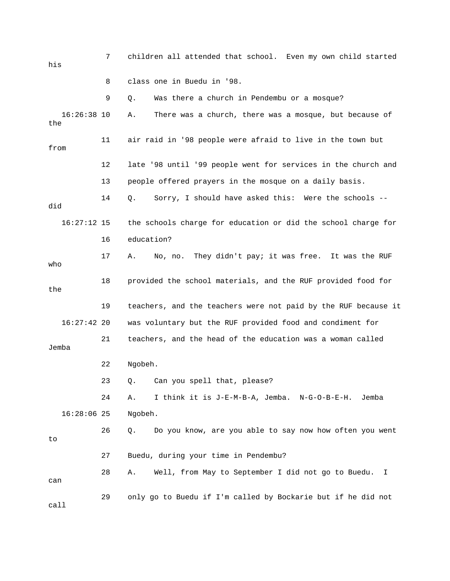| his                  | 7  | children all attended that school. Even my own child started   |
|----------------------|----|----------------------------------------------------------------|
|                      | 8  | class one in Buedu in '98.                                     |
|                      | 9  | Was there a church in Pendembu or a mosque?<br>Q.              |
| $16:26:38$ 10<br>the |    | There was a church, there was a mosque, but because of<br>Α.   |
| from                 | 11 | air raid in '98 people were afraid to live in the town but     |
|                      | 12 | late '98 until '99 people went for services in the church and  |
|                      | 13 | people offered prayers in the mosque on a daily basis.         |
| did                  | 14 | Sorry, I should have asked this: Were the schools --<br>Q.     |
| $16:27:12$ 15        |    | the schools charge for education or did the school charge for  |
|                      | 16 | education?                                                     |
| who                  | 17 | No, no. They didn't pay; it was free. It was the RUF<br>Α.     |
| the                  | 18 | provided the school materials, and the RUF provided food for   |
|                      | 19 | teachers, and the teachers were not paid by the RUF because it |
| $16:27:42$ 20        |    | was voluntary but the RUF provided food and condiment for      |
| Jemba                | 21 | teachers, and the head of the education was a woman called     |
|                      | 22 | Ngobeh.                                                        |
|                      | 23 | Q. Can you spell that, please?                                 |
|                      | 24 | I think it is J-E-M-B-A, Jemba. N-G-O-B-E-H.<br>Α.<br>Jemba    |
| $16:28:06$ 25        |    | Ngobeh.                                                        |
| to                   | 26 | Do you know, are you able to say now how often you went<br>Q.  |
|                      | 27 | Buedu, during your time in Pendembu?                           |
| can                  | 28 | Well, from May to September I did not go to Buedu.<br>Α.<br>I. |
| call                 | 29 | only go to Buedu if I'm called by Bockarie but if he did not   |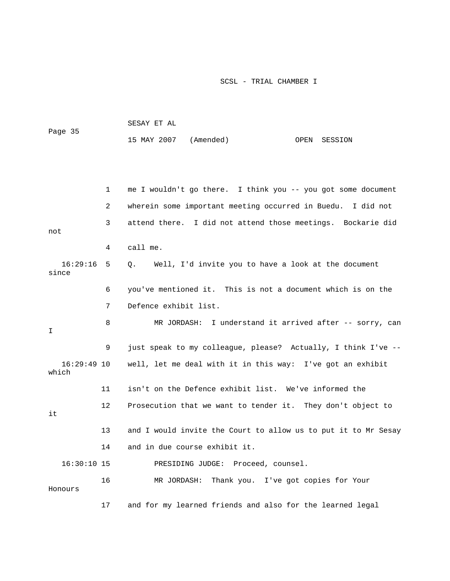|                        |    | SESAY ET AL           |                                                                |      |         |
|------------------------|----|-----------------------|----------------------------------------------------------------|------|---------|
| Page 35                |    | 15 MAY 2007 (Amended) |                                                                | OPEN | SESSION |
|                        |    |                       |                                                                |      |         |
|                        |    |                       |                                                                |      |         |
|                        | 1  |                       | me I wouldn't go there. I think you -- you got some document   |      |         |
|                        | 2  |                       | wherein some important meeting occurred in Buedu. I did not    |      |         |
| not                    | 3  |                       | attend there. I did not attend those meetings. Bockarie did    |      |         |
|                        | 4  | call me.              |                                                                |      |         |
| 16:29:16<br>since      | 5  | $Q_{\star}$           | Well, I'd invite you to have a look at the document            |      |         |
|                        | 6  |                       | you've mentioned it. This is not a document which is on the    |      |         |
|                        | 7  | Defence exhibit list. |                                                                |      |         |
| I                      | 8  |                       | MR JORDASH: I understand it arrived after -- sorry, can        |      |         |
|                        | 9  |                       | just speak to my colleague, please? Actually, I think I've --  |      |         |
| $16:29:49$ 10<br>which |    |                       | well, let me deal with it in this way: I've got an exhibit     |      |         |
|                        | 11 |                       | isn't on the Defence exhibit list. We've informed the          |      |         |
| it                     | 12 |                       | Prosecution that we want to tender it. They don't object to    |      |         |
|                        | 13 |                       | and I would invite the Court to allow us to put it to Mr Sesay |      |         |
|                        | 14 |                       | and in due course exhibit it.                                  |      |         |
| $16:30:10$ 15          |    |                       | PRESIDING JUDGE: Proceed, counsel.                             |      |         |
| Honours                | 16 | MR JORDASH:           | Thank you. I've got copies for Your                            |      |         |
|                        | 17 |                       | and for my learned friends and also for the learned legal      |      |         |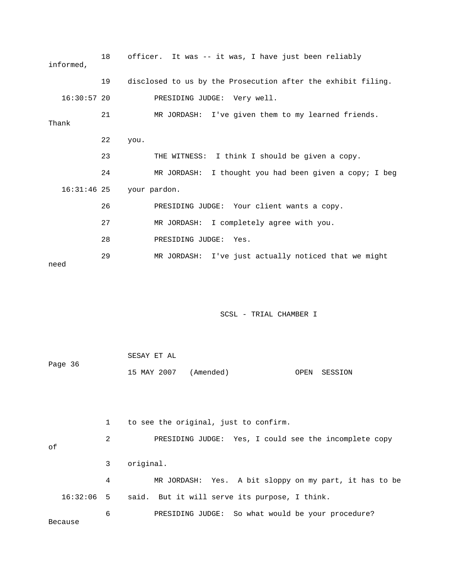| informed,     | 18 | officer. It was -- it was, I have just been reliably         |
|---------------|----|--------------------------------------------------------------|
|               | 19 | disclosed to us by the Prosecution after the exhibit filing. |
| $16:30:57$ 20 |    | PRESIDING JUDGE: Very well.                                  |
| Thank         | 21 | MR JORDASH: I've given them to my learned friends.           |
|               | 22 | you.                                                         |
|               | 23 | THE WITNESS: I think I should be given a copy.               |
|               | 24 | MR JORDASH: I thought you had been given a copy; I beg       |
| $16:31:46$ 25 |    | your pardon.                                                 |
|               | 26 | PRESIDING JUDGE: Your client wants a copy.                   |
|               | 27 | MR JORDASH: I completely agree with you.                     |
|               | 28 | PRESIDING JUDGE: Yes.                                        |
| need          | 29 | MR JORDASH: I've just actually noticed that we might         |

|         | SESAY ET AL           |  |              |
|---------|-----------------------|--|--------------|
| Page 36 |                       |  |              |
|         | 15 MAY 2007 (Amended) |  | OPEN SESSION |

 1 to see the original, just to confirm. 2 PRESIDING JUDGE: Yes, I could see the incomplete copy of 3 original. 4 MR JORDASH: Yes. A bit sloppy on my part, it has to be 16:32:06 5 said. But it will serve its purpose, I think. 6 PRESIDING JUDGE: So what would be your procedure?

Because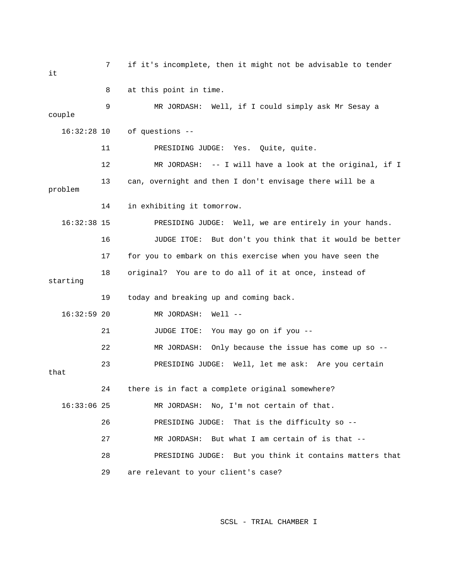7 if it's incomplete, then it might not be advisable to tender it 8 at this point in time. 9 MR JORDASH: Well, if I could simply ask Mr Sesay a couple 16:32:28 10 of questions -- 11 PRESIDING JUDGE: Yes. Quite, quite. 12 MR JORDASH: -- I will have a look at the original, if I 13 can, overnight and then I don't envisage there will be a problem 14 in exhibiting it tomorrow. 16:32:38 15 PRESIDING JUDGE: Well, we are entirely in your hands. 16 JUDGE ITOE: But don't you think that it would be better 17 for you to embark on this exercise when you have seen the 18 original? You are to do all of it at once, instead of starting 19 today and breaking up and coming back. 16:32:59 20 MR JORDASH: Well -- 21 JUDGE ITOE: You may go on if you -- 22 MR JORDASH: Only because the issue has come up so -- 23 PRESIDING JUDGE: Well, let me ask: Are you certain that 24 there is in fact a complete original somewhere? 16:33:06 25 MR JORDASH: No, I'm not certain of that. 26 PRESIDING JUDGE: That is the difficulty so -- 27 MR JORDASH: But what I am certain of is that -- 28 PRESIDING JUDGE: But you think it contains matters that 29 are relevant to your client's case?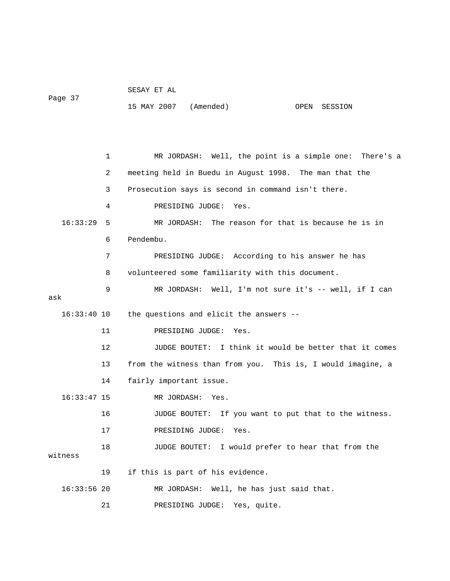|         | SESAY ET AL |  |  |
|---------|-------------|--|--|
| Page 37 |             |  |  |

15 MAY 2007 (Amended) OPEN SESSION

 1 MR JORDASH: Well, the point is a simple one: There's a 2 meeting held in Buedu in August 1998. The man that the 3 Prosecution says is second in command isn't there. 4 PRESIDING JUDGE: Yes. 16:33:29 5 MR JORDASH: The reason for that is because he is in 6 Pendembu. 7 PRESIDING JUDGE: According to his answer he has 8 volunteered some familiarity with this document. 9 MR JORDASH: Well, I'm not sure it's -- well, if I can ask 16:33:40 10 the questions and elicit the answers -- 11 PRESIDING JUDGE: Yes. 12 JUDGE BOUTET: I think it would be better that it comes 13 from the witness than from you. This is, I would imagine, a 14 fairly important issue. 16:33:47 15 MR JORDASH: Yes. 16 JUDGE BOUTET: If you want to put that to the witness. 17 PRESIDING JUDGE: Yes. 18 JUDGE BOUTET: I would prefer to hear that from the witness 19 if this is part of his evidence. 16:33:56 20 MR JORDASH: Well, he has just said that. 21 PRESIDING JUDGE: Yes, quite.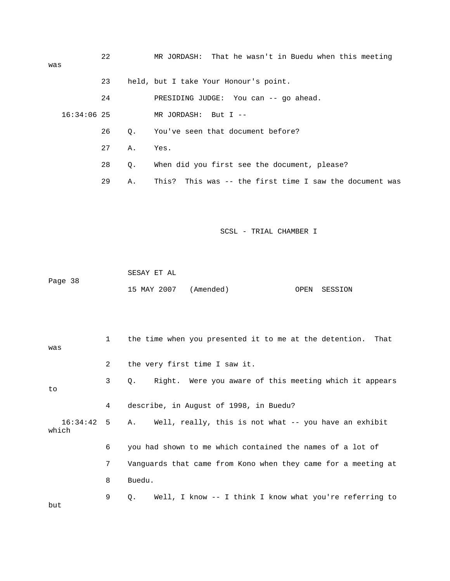| was |               | 22 |           | MR JORDASH: That he wasn't in Buedu when this meeting   |
|-----|---------------|----|-----------|---------------------------------------------------------|
|     |               | 23 |           | held, but I take Your Honour's point.                   |
|     |               | 24 |           | PRESIDING JUDGE: You can -- go ahead.                   |
|     | $16:34:06$ 25 |    |           | MR JORDASH: But I $-$                                   |
|     |               | 26 | $\circ$ . | You've seen that document before?                       |
|     |               | 27 | Α.        | Yes.                                                    |
|     |               | 28 | Q.        | When did you first see the document, please?            |
|     |               | 29 | Α.        | This? This was -- the first time I saw the document was |

|         | SESAY ET AL |                       |              |
|---------|-------------|-----------------------|--------------|
| Page 38 |             |                       |              |
|         |             | 15 MAY 2007 (Amended) | OPEN SESSION |

| was   |                | the time when you presented it to me at the detention. That         |
|-------|----------------|---------------------------------------------------------------------|
|       | $\overline{a}$ | the very first time I saw it.                                       |
| to    | 3              | Right. Were you aware of this meeting which it appears<br>Q.        |
|       | 4              | describe, in August of 1998, in Buedu?                              |
| which |                | 16:34:42 5 A. Well, really, this is not what -- you have an exhibit |
|       | 6              | you had shown to me which contained the names of a lot of           |
|       | 7              | Vanquards that came from Kono when they came for a meeting at       |
|       | 8              | Buedu.                                                              |
| but   | 9              | Well, I know -- I think I know what you're referring to<br>Q.       |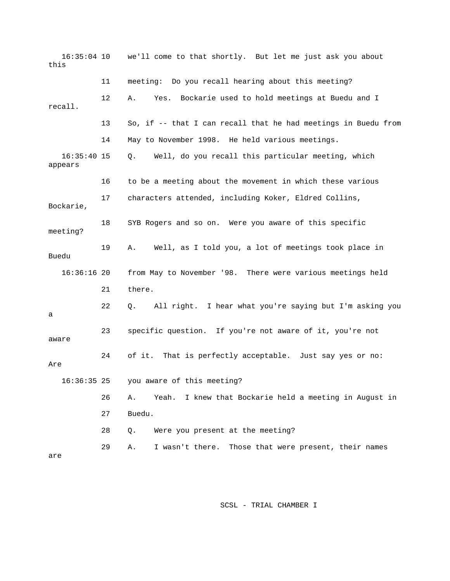16:35:04 10 we'll come to that shortly. But let me just ask you about this 11 meeting: Do you recall hearing about this meeting? 12 A. Yes. Bockarie used to hold meetings at Buedu and I recall. 13 So, if -- that I can recall that he had meetings in Buedu from 14 May to November 1998. He held various meetings. 16:35:40 15 Q. Well, do you recall this particular meeting, which appears 16 to be a meeting about the movement in which these various 17 characters attended, including Koker, Eldred Collins, Bockarie, 18 SYB Rogers and so on. Were you aware of this specific meeting? 19 A. Well, as I told you, a lot of meetings took place in Buedu 16:36:16 20 from May to November '98. There were various meetings held 21 there. 22 Q. All right. I hear what you're saying but I'm asking you a 23 specific question. If you're not aware of it, you're not aware 24 of it. That is perfectly acceptable. Just say yes or no: Are 16:36:35 25 you aware of this meeting? 26 A. Yeah. I knew that Bockarie held a meeting in August in 27 Buedu. 28 Q. Were you present at the meeting? 29 A. I wasn't there. Those that were present, their names are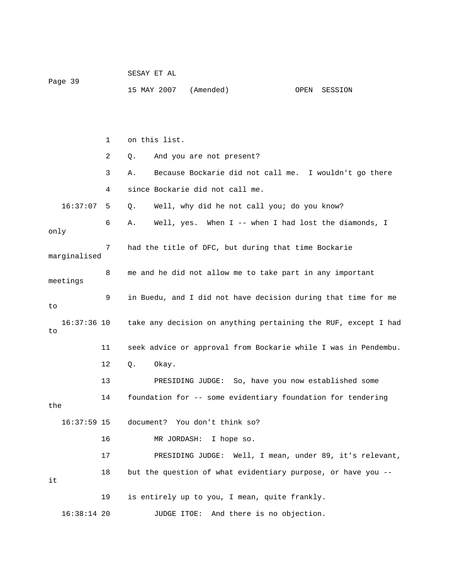| Page 39 |               |    | SESAY ET AL                                                   |               |                                 |                                                          |      |                                                                |  |
|---------|---------------|----|---------------------------------------------------------------|---------------|---------------------------------|----------------------------------------------------------|------|----------------------------------------------------------------|--|
|         |               |    |                                                               | 15 MAY 2007   | (Amended)                       |                                                          | OPEN | SESSION                                                        |  |
|         |               |    |                                                               |               |                                 |                                                          |      |                                                                |  |
|         |               | 1  |                                                               | on this list. |                                 |                                                          |      |                                                                |  |
|         |               | 2  | Q.                                                            |               | And you are not present?        |                                                          |      |                                                                |  |
|         |               | 3  | Α.                                                            |               |                                 |                                                          |      | Because Bockarie did not call me. I wouldn't go there          |  |
|         |               | 4  |                                                               |               | since Bockarie did not call me. |                                                          |      |                                                                |  |
|         | 16:37:07      | 5  | Q.                                                            |               |                                 | Well, why did he not call you; do you know?              |      |                                                                |  |
| only    |               | 6  | Α.                                                            |               |                                 |                                                          |      | Well, yes. When I -- when I had lost the diamonds, I           |  |
|         | marginalised  | 7  |                                                               |               |                                 | had the title of DFC, but during that time Bockarie      |      |                                                                |  |
|         | meetings      | 8  |                                                               |               |                                 | me and he did not allow me to take part in any important |      |                                                                |  |
| to      |               | 9  | in Buedu, and I did not have decision during that time for me |               |                                 |                                                          |      |                                                                |  |
| to      | $16:37:36$ 10 |    |                                                               |               |                                 |                                                          |      | take any decision on anything pertaining the RUF, except I had |  |
|         |               | 11 |                                                               |               |                                 |                                                          |      | seek advice or approval from Bockarie while I was in Pendembu. |  |
|         |               | 12 | $Q$ .                                                         | Okay.         |                                 |                                                          |      |                                                                |  |
|         |               | 13 |                                                               |               |                                 | PRESIDING JUDGE: So, have you now established some       |      |                                                                |  |
| the     |               | 14 |                                                               |               |                                 |                                                          |      | foundation for -- some evidentiary foundation for tendering    |  |
|         | $16:37:59$ 15 |    |                                                               |               | document? You don't think so?   |                                                          |      |                                                                |  |
|         |               | 16 |                                                               |               | MR JORDASH: I hope so.          |                                                          |      |                                                                |  |
|         |               | 17 |                                                               |               |                                 |                                                          |      | PRESIDING JUDGE: Well, I mean, under 89, it's relevant,        |  |
| it      |               | 18 |                                                               |               |                                 |                                                          |      | but the question of what evidentiary purpose, or have you --   |  |
|         |               | 19 |                                                               |               |                                 | is entirely up to you, I mean, quite frankly.            |      |                                                                |  |
|         | $16:38:14$ 20 |    |                                                               | JUDGE ITOE:   |                                 | And there is no objection.                               |      |                                                                |  |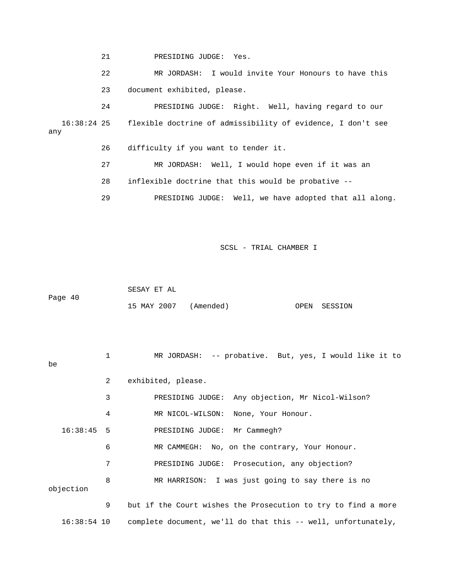21 PRESIDING JUDGE: Yes.

 22 MR JORDASH: I would invite Your Honours to have this 23 document exhibited, please.

 24 PRESIDING JUDGE: Right. Well, having regard to our 16:38:24 25 flexible doctrine of admissibility of evidence, I don't see any

26 difficulty if you want to tender it.

 27 MR JORDASH: Well, I would hope even if it was an 28 inflexible doctrine that this would be probative --

29 PRESIDING JUDGE: Well, we have adopted that all along.

SCSL - TRIAL CHAMBER I

 SESAY ET AL Page 40 15 MAY 2007 (Amended) OPEN SESSION

 1 MR JORDASH: -- probative. But, yes, I would like it to be 2 exhibited, please. 3 PRESIDING JUDGE: Any objection, Mr Nicol-Wilson? 4 MR NICOL-WILSON: None, Your Honour. 16:38:45 5 PRESIDING JUDGE: Mr Cammegh? 6 MR CAMMEGH: No, on the contrary, Your Honour. 7 PRESIDING JUDGE: Prosecution, any objection? 8 MR HARRISON: I was just going to say there is no objection 9 but if the Court wishes the Prosecution to try to find a more

16:38:54 10 complete document, we'll do that this -- well, unfortunately,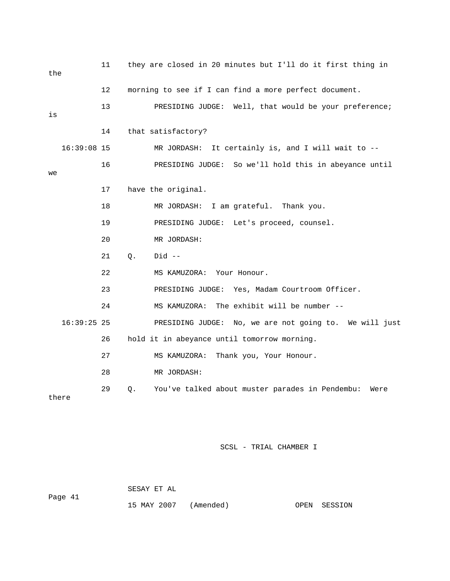| the           | 11      | they are closed in 20 minutes but I'll do it first thing in   |  |  |  |  |  |  |
|---------------|---------|---------------------------------------------------------------|--|--|--|--|--|--|
|               | $12 \,$ | morning to see if I can find a more perfect document.         |  |  |  |  |  |  |
| is            | 13      | PRESIDING JUDGE: Well, that would be your preference;         |  |  |  |  |  |  |
|               | 14      | that satisfactory?                                            |  |  |  |  |  |  |
| $16:39:08$ 15 |         | It certainly is, and I will wait to --<br>MR JORDASH:         |  |  |  |  |  |  |
| we            | 16      | PRESIDING JUDGE: So we'll hold this in abeyance until         |  |  |  |  |  |  |
|               | 17      | have the original.                                            |  |  |  |  |  |  |
|               | 18      | MR JORDASH: I am grateful. Thank you.                         |  |  |  |  |  |  |
|               | 19      | PRESIDING JUDGE: Let's proceed, counsel.                      |  |  |  |  |  |  |
|               | 20      | MR JORDASH:                                                   |  |  |  |  |  |  |
|               | 21      | Q.<br>$Did --$                                                |  |  |  |  |  |  |
|               | 22      | MS KAMUZORA: Your Honour.                                     |  |  |  |  |  |  |
|               | 23      | PRESIDING JUDGE: Yes, Madam Courtroom Officer.                |  |  |  |  |  |  |
|               | 24      | MS KAMUZORA: The exhibit will be number --                    |  |  |  |  |  |  |
| $16:39:25$ 25 |         | No, we are not going to. We will just<br>PRESIDING JUDGE:     |  |  |  |  |  |  |
|               | 26      | hold it in abeyance until tomorrow morning.                   |  |  |  |  |  |  |
|               | 27      | MS KAMUZORA:<br>Thank you, Your Honour.                       |  |  |  |  |  |  |
|               | 28      | MR JORDASH:                                                   |  |  |  |  |  |  |
| there         | 29      | You've talked about muster parades in Pendembu:<br>Q.<br>Were |  |  |  |  |  |  |

SESAY ET AL

Page 41

15 MAY 2007 (Amended) OPEN SESSION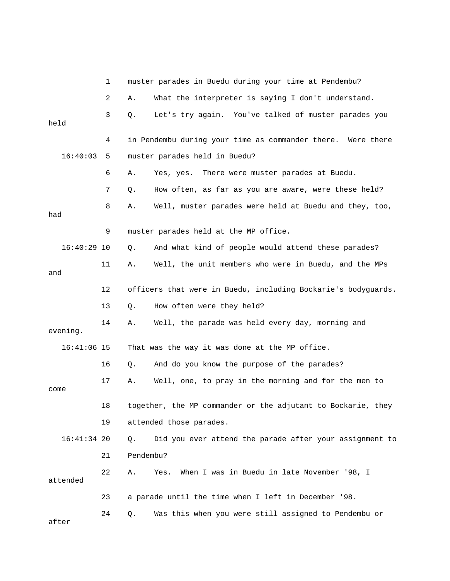|               | 1  |           | muster parades in Buedu during your time at Pendembu?         |
|---------------|----|-----------|---------------------------------------------------------------|
|               | 2  | Α.        | What the interpreter is saying I don't understand.            |
| held          | 3  | Q.        | Let's try again. You've talked of muster parades you          |
|               | 4  |           | in Pendembu during your time as commander there. Were there   |
| 16:40:03      | 5  |           | muster parades held in Buedu?                                 |
|               | 6  | Α.        | Yes, yes. There were muster parades at Buedu.                 |
|               | 7  | Q.        | How often, as far as you are aware, were these held?          |
| had           | 8  | Α.        | Well, muster parades were held at Buedu and they, too,        |
|               | 9  |           | muster parades held at the MP office.                         |
| $16:40:29$ 10 |    | Q.        | And what kind of people would attend these parades?           |
| and           | 11 | Α.        | Well, the unit members who were in Buedu, and the MPs         |
|               | 12 |           | officers that were in Buedu, including Bockarie's bodyguards. |
|               | 13 | Q.        | How often were they held?                                     |
| evening.      | 14 | Α.        | Well, the parade was held every day, morning and              |
| $16:41:06$ 15 |    |           | That was the way it was done at the MP office.                |
|               | 16 | Q.        | And do you know the purpose of the parades?                   |
| come          | 17 | Α.        | Well, one, to pray in the morning and for the men to          |
|               | 18 |           | together, the MP commander or the adjutant to Bockarie, they  |
|               | 19 |           | attended those parades.                                       |
| $16:41:34$ 20 |    | Q.        | Did you ever attend the parade after your assignment to       |
|               | 21 | Pendembu? |                                                               |
| attended      | 22 | Α.        | When I was in Buedu in late November '98, I<br>Yes.           |
|               | 23 |           | a parade until the time when I left in December '98.          |
| after         | 24 | Q.        | Was this when you were still assigned to Pendembu or          |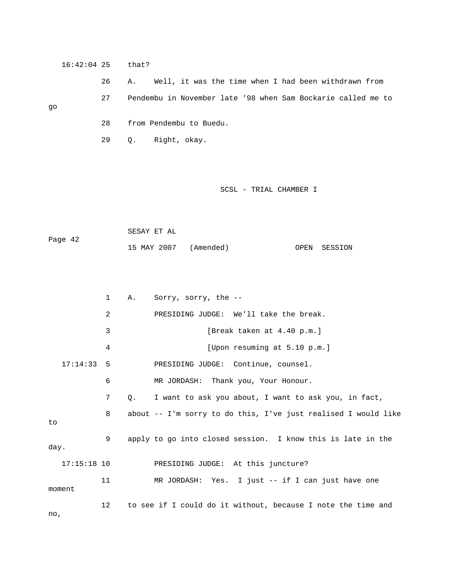16:42:04 25 that?

 26 A. Well, it was the time when I had been withdrawn from 27 Pendembu in November late '98 when Sam Bockarie called me to go 28 from Pendembu to Buedu.

29 Q. Right, okay.

#### SCSL - TRIAL CHAMBER I

 SESAY ET AL Page 42 15 MAY 2007 (Amended) OPEN SESSION

 1 A. Sorry, sorry, the -- 2 PRESIDING JUDGE: We'll take the break. 3 [Break taken at 4.40 p.m.] 4 [Upon resuming at 5.10 p.m.] 17:14:33 5 PRESIDING JUDGE: Continue, counsel. 6 MR JORDASH: Thank you, Your Honour. 7 Q. I want to ask you about, I want to ask you, in fact, 8 about -- I'm sorry to do this, I've just realised I would like to 9 apply to go into closed session. I know this is late in the day. 17:15:18 10 PRESIDING JUDGE: At this juncture? 11 MR JORDASH: Yes. I just -- if I can just have one moment 12 to see if I could do it without, because I note the time and no,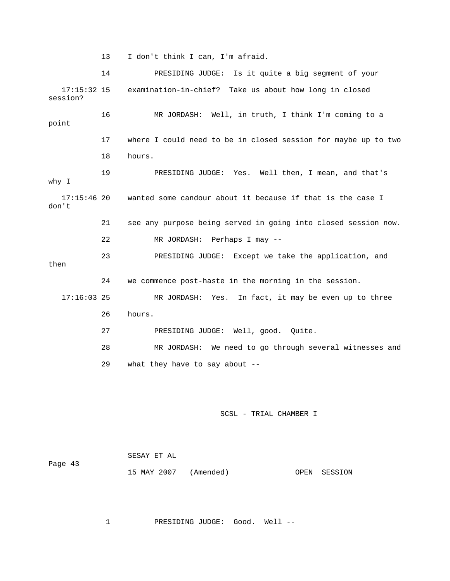13 I don't think I can, I'm afraid.

 14 PRESIDING JUDGE: Is it quite a big segment of your 17:15:32 15 examination-in-chief? Take us about how long in closed session? 16 MR JORDASH: Well, in truth, I think I'm coming to a point 17 where I could need to be in closed session for maybe up to two 18 hours. 19 PRESIDING JUDGE: Yes. Well then, I mean, and that's why I 17:15:46 20 wanted some candour about it because if that is the case I don't 21 see any purpose being served in going into closed session now. 22 MR JORDASH: Perhaps I may -- 23 PRESIDING JUDGE: Except we take the application, and then 24 we commence post-haste in the morning in the session. 17:16:03 25 MR JORDASH: Yes. In fact, it may be even up to three 26 hours. 27 PRESIDING JUDGE: Well, good. Quite. 28 MR JORDASH: We need to go through several witnesses and 29 what they have to say about --

SCSL - TRIAL CHAMBER I

|         | SESAY ET AL           |  |              |
|---------|-----------------------|--|--------------|
| Page 43 |                       |  |              |
|         | 15 MAY 2007 (Amended) |  | OPEN SESSION |

1 PRESIDING JUDGE: Good. Well --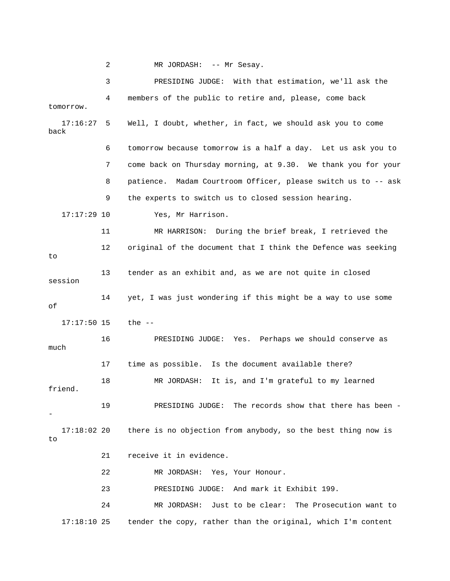2 MR JORDASH: -- Mr Sesay. 3 PRESIDING JUDGE: With that estimation, we'll ask the 4 members of the public to retire and, please, come back tomorrow. 17:16:27 5 Well, I doubt, whether, in fact, we should ask you to come back 6 tomorrow because tomorrow is a half a day. Let us ask you to 7 come back on Thursday morning, at 9.30. We thank you for your 8 patience. Madam Courtroom Officer, please switch us to -- ask 9 the experts to switch us to closed session hearing. 17:17:29 10 Yes, Mr Harrison. 11 MR HARRISON: During the brief break, I retrieved the 12 original of the document that I think the Defence was seeking to 13 tender as an exhibit and, as we are not quite in closed session 14 yet, I was just wondering if this might be a way to use some of 17:17:50 15 the -- 16 PRESIDING JUDGE: Yes. Perhaps we should conserve as much 17 time as possible. Is the document available there? 18 MR JORDASH: It is, and I'm grateful to my learned friend. 19 PRESIDING JUDGE: The records show that there has been - - 17:18:02 20 there is no objection from anybody, so the best thing now is to 21 receive it in evidence. 22 MR JORDASH: Yes, Your Honour. 23 PRESIDING JUDGE: And mark it Exhibit 199. 24 MR JORDASH: Just to be clear: The Prosecution want to 17:18:10 25 tender the copy, rather than the original, which I'm content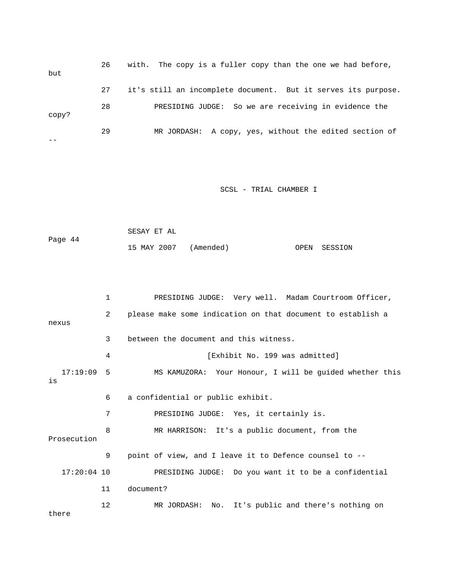| but   | 26 | with. The copy is a fuller copy than the one we had before,   |
|-------|----|---------------------------------------------------------------|
|       | 27 | it's still an incomplete document. But it serves its purpose. |
| copy? | 28 | PRESIDING JUDGE: So we are receiving in evidence the          |
|       | 29 | MR JORDASH: A copy, yes, without the edited section of        |

```
 SESAY ET AL 
Page 44 
              15 MAY 2007 (Amended) OPEN SESSION
```

|                | 1  | PRESIDING JUDGE: Very well. Madam Courtroom Officer,        |
|----------------|----|-------------------------------------------------------------|
| nexus          | 2  | please make some indication on that document to establish a |
|                | 3  | between the document and this witness.                      |
|                | 4  | [Exhibit No. 199 was admitted]                              |
| 17:19:09<br>is | .5 | MS KAMUZORA: Your Honour, I will be quided whether this     |
|                | 6  | a confidential or public exhibit.                           |
|                | 7  | PRESIDING JUDGE: Yes, it certainly is.                      |
| Prosecution    | 8  | MR HARRISON: It's a public document, from the               |
|                | 9  | point of view, and I leave it to Defence counsel to --      |
| $17:20:04$ 10  |    | PRESIDING JUDGE: Do you want it to be a confidential        |
|                | 11 | document?                                                   |
| there          | 12 | MR JORDASH: No. It's public and there's nothing on          |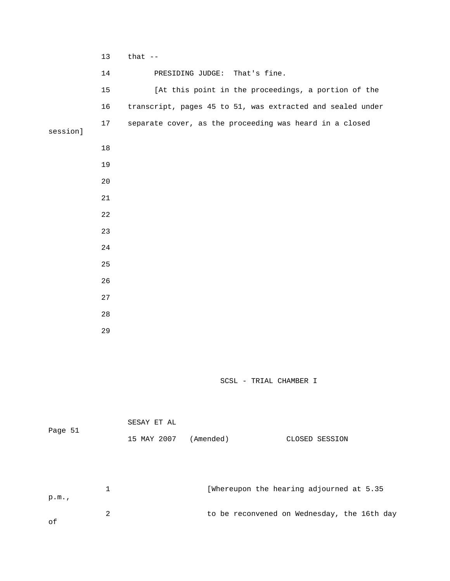|                          | 13          | that $--$   |                  |                                                            |  |
|--------------------------|-------------|-------------|------------------|------------------------------------------------------------|--|
|                          | 14          |             | PRESIDING JUDGE: | That's fine.                                               |  |
|                          | $15$        |             |                  | [At this point in the proceedings, a portion of the        |  |
|                          | 16          |             |                  | transcript, pages 45 to 51, was extracted and sealed under |  |
| session]                 | 17          |             |                  | separate cover, as the proceeding was heard in a closed    |  |
|                          | $18\,$      |             |                  |                                                            |  |
|                          | 19          |             |                  |                                                            |  |
|                          |             |             |                  |                                                            |  |
|                          | $20$        |             |                  |                                                            |  |
|                          | 21          |             |                  |                                                            |  |
|                          | 22          |             |                  |                                                            |  |
|                          | 23          |             |                  |                                                            |  |
|                          | 24          |             |                  |                                                            |  |
|                          | 25          |             |                  |                                                            |  |
|                          | 26          |             |                  |                                                            |  |
|                          | 27          |             |                  |                                                            |  |
|                          | 28          |             |                  |                                                            |  |
|                          | 29          |             |                  |                                                            |  |
|                          |             |             |                  |                                                            |  |
|                          |             |             |                  |                                                            |  |
|                          |             |             |                  | SCSL - TRIAL CHAMBER I                                     |  |
|                          |             |             |                  |                                                            |  |
|                          |             | SESAY ET AL |                  |                                                            |  |
| Page 51                  |             | 15 MAY 2007 | (Amended)        | CLOSED SESSION                                             |  |
|                          |             |             |                  |                                                            |  |
|                          |             |             |                  |                                                            |  |
|                          | $\mathbf 1$ |             |                  | [Whereupon the hearing adjourned at 5.35                   |  |
| p.m.                     |             |             |                  |                                                            |  |
| $\overline{\phantom{1}}$ | 2           |             |                  | to be reconvened on Wednesday, the 16th day                |  |

of